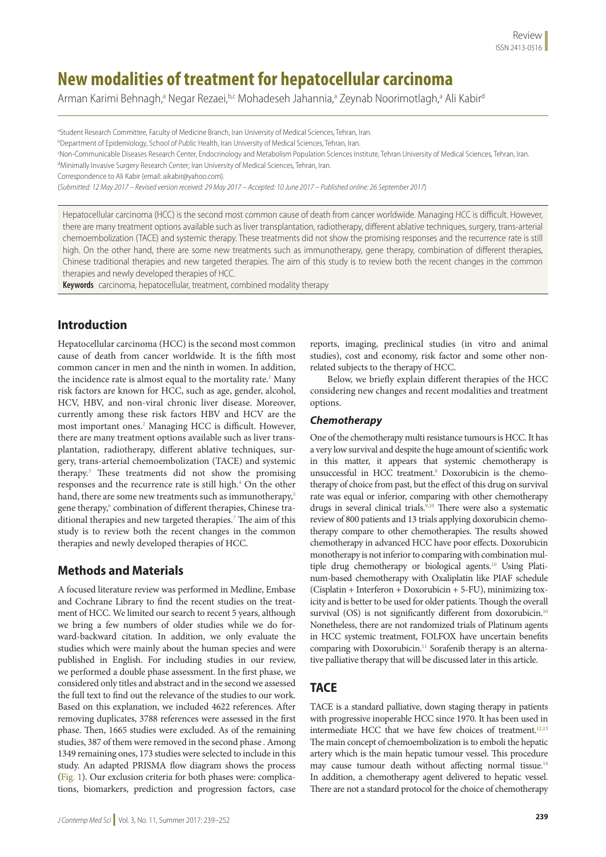# **New modalities of treatment for hepatocellular carcinoma**

Arman Karimi Behnagh,ª Negar Rezaei,b,c Mohadeseh Jahannia,ª Zeynab Noorimotlagh,ª Ali Kabir<sup>d</sup>

a Student Research Committee, Faculty of Medicine Branch, Iran University of Medical Sciences, Tehran, Iran.

<sup>b</sup>Department of Epidemiology, School of Public Health, Iran University of Medical Sciences, Tehran, Iran.

<sup>c</sup>Non-Communicable Diseases Research Center, Endocrinology and Metabolism Population Sciences Institute, Tehran University of Medical Sciences, Tehran, Iran.

<sup>d</sup>Minimally Invasive Surgery Research Center; Iran University of Medical Sciences, Tehran, Iran.

Correspondence to Ali Kabir (email: aikabir@yahoo.com).

(*Submitted: 12 May 2017 – Revised version received: 29 May 2017 – Accepted: 10 June 2017 – Published online: 26 September 2017*)

Hepatocellular carcinoma (HCC) is the second most common cause of death from cancer worldwide. Managing HCC is difficult. However, there are many treatment options available such as liver transplantation, radiotherapy, different ablative techniques, surgery, trans-arterial chemoembolization (TACE) and systemic therapy. These treatments did not show the promising responses and the recurrence rate is still high. On the other hand, there are some new treatments such as immunotherapy, gene therapy, combination of different therapies, Chinese traditional therapies and new targeted therapies. The aim of this study is to review both the recent changes in the common therapies and newly developed therapies of HCC.

**Keywords** carcinoma, hepatocellular, treatment, combined modality therapy

# **Introduction**

Hepatocellular carcinoma (HCC) is the second most common cause of death from cancer worldwide. It is the fifth most common cancer in men and the ninth in women. In addition, the incidence rate is almost equal to the mortality rate.<sup>1</sup> Many risk factors are known for HCC, such as age, gender, alcohol, HCV, HBV, and non-viral chronic liver disease. Moreover, currently among these risk factors HBV and HCV are the most important ones.<sup>2</sup> Managing HCC is difficult. However, there are many treatment options available such as liver transplantation, radiotherapy, different ablative techniques, surgery, trans-arterial chemoembolization (TACE) and systemic therapy.3 These treatments did not show the promising responses and the recurrence rate is still high.<sup>4</sup> On the other hand, there are some new treatments such as immunotherapy,<sup>5</sup> gene therapy,<sup>6</sup> combination of different therapies, Chinese traditional therapies and new targeted therapies.7 The aim of this study is to review both the recent changes in the common therapies and newly developed therapies of HCC.

# **Methods and Materials**

A focused literature review was performed in Medline, Embase and Cochrane Library to find the recent studies on the treatment of HCC. We limited our search to recent 5 years, although we bring a few numbers of older studies while we do forward-backward citation. In addition, we only evaluate the studies which were mainly about the human species and were published in English. For including studies in our review, we performed a double phase assessment. In the first phase, we considered only titles and abstract and in the second we assessed the full text to find out the relevance of the studies to our work. Based on this explanation, we included 4622 references. After removing duplicates, 3788 references were assessed in the first phase. Then, 1665 studies were excluded. As of the remaining studies, 387 of them were removed in the second phase . Among 1349 remaining ones, 173 studies were selected to include in this study. An adapted PRISMA flow diagram shows the process (Fig. 1). Our exclusion criteria for both phases were: complications, biomarkers, prediction and progression factors, case

reports, imaging, preclinical studies (in vitro and animal studies), cost and economy, risk factor and some other nonrelated subjects to the therapy of HCC.

Below, we briefly explain different therapies of the HCC considering new changes and recent modalities and treatment options.

# *Chemotherapy*

One of the chemotherapy multi resistance tumours is HCC. It has a very low survival and despite the huge amount of scientific work in this matter, it appears that systemic chemotherapy is unsuccessful in HCC treatment.8 Doxorubicin is the chemotherapy of choice from past, but the effect of this drug on survival rate was equal or inferior, comparing with other chemotherapy drugs in several clinical trials.9,10 There were also a systematic review of 800 patients and 13 trials applying doxorubicin chemotherapy compare to other chemotherapies. The results showed chemotherapy in advanced HCC have poor effects. Doxorubicin monotherapy is not inferior to comparing with combination multiple drug chemotherapy or biological agents.<sup>10</sup> Using Platinum-based chemotherapy with Oxaliplatin like PIAF schedule (Cisplatin + Interferon + Doxorubicin + 5-FU), minimizing toxicity and is better to be used for older patients. Though the overall survival (OS) is not significantly different from doxorubicin.<sup>10</sup> Nonetheless, there are not randomized trials of Platinum agents in HCC systemic treatment, FOLFOX have uncertain benefits comparing with Doxorubicin.<sup>11</sup> Sorafenib therapy is an alternative palliative therapy that will be discussed later in this article.

# **TACE**

TACE is a standard palliative, down staging therapy in patients with progressive inoperable HCC since 1970. It has been used in intermediate HCC that we have few choices of treatment.<sup>12,13</sup> The main concept of chemoembolization is to emboli the hepatic artery which is the main hepatic tumour vessel. This procedure may cause tumour death without affecting normal tissue.<sup>14</sup> In addition, a chemotherapy agent delivered to hepatic vessel. There are not a standard protocol for the choice of chemotherapy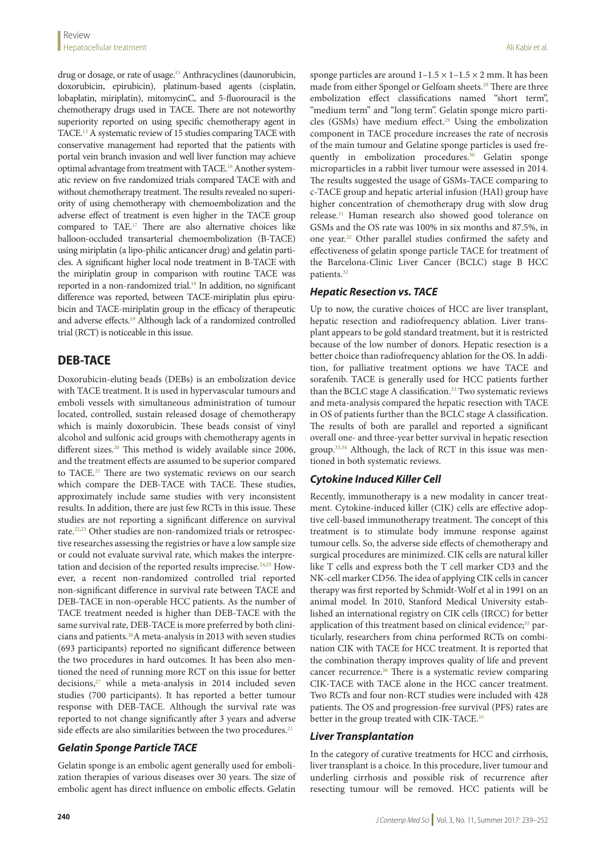drug or dosage, or rate of usage.<sup>15</sup> Anthracyclines (daunorubicin, doxorubicin, epirubicin), platinum-based agents (cisplatin, lobaplatin, miriplatin), mitomycinC, and 5-fluorouracil is the chemotherapy drugs used in TACE. There are not noteworthy superiority reported on using specific chemotherapy agent in TACE.13 A systematic review of 15 studies comparing TACE with conservative management had reported that the patients with portal vein branch invasion and well liver function may achieve optimal advantage from treatment with TACE.16 Another systematic review on five randomized trials compared TACE with and without chemotherapy treatment. The results revealed no superiority of using chemotherapy with chemoembolization and the adverse effect of treatment is even higher in the TACE group compared to TAE.17 There are also alternative choices like balloon-occluded transarterial chemoembolization (B-TACE) using miriplatin (a lipo-philic anticancer drug) and gelatin particles. A significant higher local node treatment in B-TACE with the miriplatin group in comparison with routine TACE was reported in a non-randomized trial.<sup>18</sup> In addition, no significant difference was reported, between TACE-miriplatin plus epirubicin and TACE-miriplatin group in the efficacy of therapeutic and adverse effects.<sup>19</sup> Although lack of a randomized controlled trial (RCT) is noticeable in this issue.

# **DEB-TACE**

Doxorubicin-eluting beads (DEBs) is an embolization device with TACE treatment. It is used in hypervascular tumours and emboli vessels with simultaneous administration of tumour located, controlled, sustain released dosage of chemotherapy which is mainly doxorubicin. These beads consist of vinyl alcohol and sulfonic acid groups with chemotherapy agents in different sizes.<sup>20</sup> This method is widely available since 2006, and the treatment effects are assumed to be superior compared to TACE.21 There are two systematic reviews on our search which compare the DEB-TACE with TACE. These studies, approximately include same studies with very inconsistent results. In addition, there are just few RCTs in this issue. These studies are not reporting a significant difference on survival rate.22,23 Other studies are non-randomized trials or retrospective researches assessing the registries or have a low sample size or could not evaluate survival rate, which makes the interpretation and decision of the reported results imprecise.<sup>24,25</sup> However, a recent non-randomized controlled trial reported non-significant difference in survival rate between TACE and DEB-TACE in non-operable HCC patients. As the number of TACE treatment needed is higher than DEB-TACE with the same survival rate, DEB-TACE is more preferred by both clinicians and patients.26A meta-analysis in 2013 with seven studies (693 participants) reported no significant difference between the two procedures in hard outcomes. It has been also mentioned the need of running more RCT on this issue for better decisions,<sup>27</sup> while a meta-analysis in 2014 included seven studies (700 participants). It has reported a better tumour response with DEB-TACE. Although the survival rate was reported to not change significantly after 3 years and adverse side effects are also similarities between the two procedures.<sup>21</sup>

# *Gelatin Sponge Particle TACE*

Gelatin sponge is an embolic agent generally used for embolization therapies of various diseases over 30 years. The size of embolic agent has direct influence on embolic effects. Gelatin

sponge particles are around  $1-1.5 \times 1-1.5 \times 2$  mm. It has been made from either Spongel or Gelfoam sheets.<sup>28</sup> There are three embolization effect classifications named "short term", "medium term" and "long term". Gelatin sponge micro particles (GSMs) have medium effect. $29$  Using the embolization component in TACE procedure increases the rate of necrosis of the main tumour and Gelatine sponge particles is used frequently in embolization procedures.<sup>30</sup> Gelatin sponge microparticles in a rabbit liver tumour were assessed in 2014. The results suggested the usage of GSMs-TACE comparing to c-TACE group and hepatic arterial infusion (HAI) group have higher concentration of chemotherapy drug with slow drug release.31 Human research also showed good tolerance on GSMs and the OS rate was 100% in six months and 87.5%, in one year.32 Other parallel studies confirmed the safety and effectiveness of gelatin sponge particle TACE for treatment of the Barcelona-Clinic Liver Cancer (BCLC) stage B HCC patients.32

# *Hepatic Resection vs. TACE*

Up to now, the curative choices of HCC are liver transplant, hepatic resection and radiofrequency ablation. Liver transplant appears to be gold standard treatment, but it is restricted because of the low number of donors. Hepatic resection is a better choice than radiofrequency ablation for the OS. In addition, for palliative treatment options we have TACE and sorafenib. TACE is generally used for HCC patients further than the BCLC stage A classification.<sup>33</sup> Two systematic reviews and meta-analysis compared the hepatic resection with TACE in OS of patients further than the BCLC stage A classification. The results of both are parallel and reported a significant overall one- and three-year better survival in hepatic resection group.<sup>33,34</sup> Although, the lack of RCT in this issue was mentioned in both systematic reviews.

# *Cytokine Induced Killer Cell*

Recently, immunotherapy is a new modality in cancer treatment. Cytokine-induced killer (CIK) cells are effective adoptive cell-based immunotherapy treatment. The concept of this treatment is to stimulate body immune response against tumour cells. So, the adverse side effects of chemotherapy and surgical procedures are minimized. CIK cells are natural killer like T cells and express both the T cell marker CD3 and the NK-cell marker CD56. The idea of applying CIK cells in cancer therapy was first reported by Schmidt-Wolf et al in 1991 on an animal model. In 2010, Stanford Medical University established an international registry on CIK cells (IRCC) for better application of this treatment based on clinical evidence;<sup>35</sup> particularly, researchers from china performed RCTs on combination CIK with TACE for HCC treatment. It is reported that the combination therapy improves quality of life and prevent cancer recurrence.<sup>36</sup> There is a systematic review comparing CIK-TACE with TACE alone in the HCC cancer treatment. Two RCTs and four non-RCT studies were included with 428 patients. The OS and progression-free survival (PFS) rates are better in the group treated with CIK-TACE.<sup>35</sup>

# *Liver Transplantation*

In the category of curative treatments for HCC and cirrhosis, liver transplant is a choice. In this procedure, liver tumour and underling cirrhosis and possible risk of recurrence after resecting tumour will be removed. HCC patients will be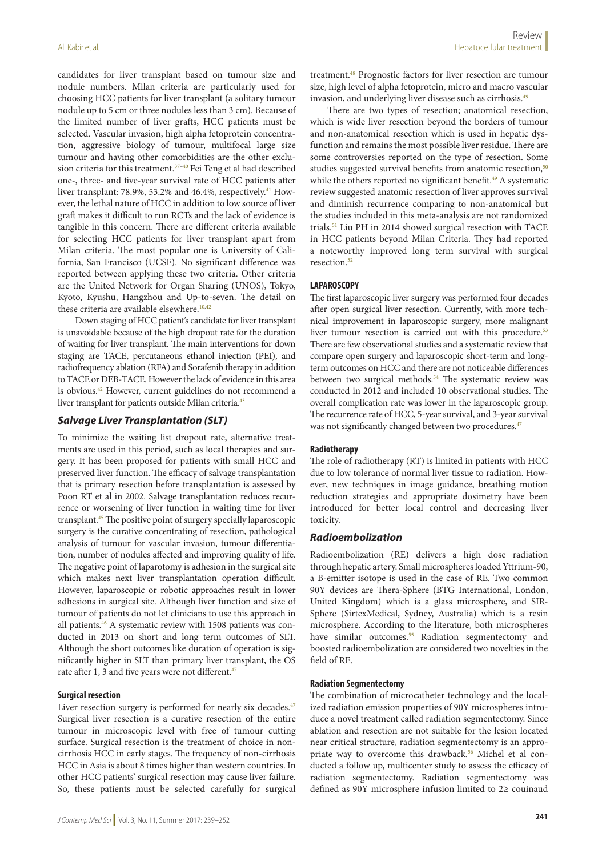candidates for liver transplant based on tumour size and nodule numbers. Milan criteria are particularly used for choosing HCC patients for liver transplant (a solitary tumour treatment.48 Prognostic factors for liver resection are tumour size, high level of alpha fetoprotein, micro and macro vascular

nodule up to 5 cm or three nodules less than 3 cm). Because of the limited number of liver grafts, HCC patients must be selected. Vascular invasion, high alpha fetoprotein concentration, aggressive biology of tumour, multifocal large size tumour and having other comorbidities are the other exclusion criteria for this treatment.<sup>37-40</sup> Fei Teng et al had described one-, three- and five-year survival rate of HCC patients after liver transplant: 78.9%, 53.2% and 46.4%, respectively.<sup>41</sup> However, the lethal nature of HCC in addition to low source of liver graft makes it difficult to run RCTs and the lack of evidence is tangible in this concern. There are different criteria available for selecting HCC patients for liver transplant apart from Milan criteria. The most popular one is University of California, San Francisco (UCSF). No significant difference was reported between applying these two criteria. Other criteria are the United Network for Organ Sharing (UNOS), Tokyo, Kyoto, Kyushu, Hangzhou and Up-to-seven. The detail on these criteria are available elsewhere.<sup>10,42</sup>

Down staging of HCC patient's candidate for liver transplant is unavoidable because of the high dropout rate for the duration of waiting for liver transplant. The main interventions for down staging are TACE, percutaneous ethanol injection (PEI), and radiofrequency ablation (RFA) and Sorafenib therapy in addition to TACE or DEB-TACE. However the lack of evidence in this area is obvious.42 However, current guidelines do not recommend a liver transplant for patients outside Milan criteria.<sup>43</sup>

### *Salvage Liver Transplantation (SLT)*

To minimize the waiting list dropout rate, alternative treatments are used in this period, such as local therapies and surgery. It has been proposed for patients with small HCC and preserved liver function. The efficacy of salvage transplantation that is primary resection before transplantation is assessed by Poon RT et al in 2002. Salvage transplantation reduces recurrence or worsening of liver function in waiting time for liver transplant.45 The positive point of surgery specially laparoscopic surgery is the curative concentrating of resection, pathological analysis of tumour for vascular invasion, tumour differentiation, number of nodules affected and improving quality of life. The negative point of laparotomy is adhesion in the surgical site which makes next liver transplantation operation difficult. However, laparoscopic or robotic approaches result in lower adhesions in surgical site. Although liver function and size of tumour of patients do not let clinicians to use this approach in all patients.46 A systematic review with 1508 patients was conducted in 2013 on short and long term outcomes of SLT. Although the short outcomes like duration of operation is significantly higher in SLT than primary liver transplant, the OS rate after 1, 3 and five years were not different.<sup>47</sup>

#### **Surgical resection**

Liver resection surgery is performed for nearly six decades.<sup>47</sup> Surgical liver resection is a curative resection of the entire tumour in microscopic level with free of tumour cutting surface. Surgical resection is the treatment of choice in noncirrhosis HCC in early stages. The frequency of non-cirrhosis HCC in Asia is about 8 times higher than western countries. In other HCC patients' surgical resection may cause liver failure. So, these patients must be selected carefully for surgical

invasion, and underlying liver disease such as cirrhosis.49 There are two types of resection; anatomical resection, which is wide liver resection beyond the borders of tumour and non-anatomical resection which is used in hepatic dysfunction and remains the most possible liver residue. There are some controversies reported on the type of resection. Some studies suggested survival benefits from anatomic resection,<sup>50</sup> while the others reported no significant benefit.<sup>49</sup> A systematic review suggested anatomic resection of liver approves survival and diminish recurrence comparing to non-anatomical but the studies included in this meta-analysis are not randomized trials.51 Liu PH in 2014 showed surgical resection with TACE in HCC patients beyond Milan Criteria. They had reported a noteworthy improved long term survival with surgical resection.<sup>52</sup>

#### **LAPAROSCOPY**

The first laparoscopic liver surgery was performed four decades after open surgical liver resection. Currently, with more technical improvement in laparoscopic surgery, more malignant liver tumour resection is carried out with this procedure.<sup>53</sup> There are few observational studies and a systematic review that compare open surgery and laparoscopic short-term and longterm outcomes on HCC and there are not noticeable differences between two surgical methods.<sup>54</sup> The systematic review was conducted in 2012 and included 10 observational studies. The overall complication rate was lower in the laparoscopic group. The recurrence rate of HCC, 5-year survival, and 3-year survival was not significantly changed between two procedures.<sup>47</sup>

#### **Radiotherapy**

The role of radiotherapy (RT) is limited in patients with HCC due to low tolerance of normal liver tissue to radiation. However, new techniques in image guidance, breathing motion reduction strategies and appropriate dosimetry have been introduced for better local control and decreasing liver toxicity.

#### *Radioembolization*

Radioembolization (RE) delivers a high dose radiation through hepatic artery. Small microspheres loaded Yttrium-90, a B-emitter isotope is used in the case of RE. Two common 90Y devices are Thera-Sphere (BTG International, London, United Kingdom) which is a glass microsphere, and SIR-Sphere (SirtexMedical, Sydney, Australia) which is a resin microsphere. According to the literature, both microspheres have similar outcomes.<sup>55</sup> Radiation segmentectomy and boosted radioembolization are considered two novelties in the field of RE.

#### **Radiation Segmentectomy**

The combination of microcatheter technology and the localized radiation emission properties of 90Y microspheres introduce a novel treatment called radiation segmentectomy. Since ablation and resection are not suitable for the lesion located near critical structure, radiation segmentectomy is an appropriate way to overcome this drawback.<sup>56</sup> Michel et al conducted a follow up, multicenter study to assess the efficacy of radiation segmentectomy. Radiation segmentectomy was defined as 90Y microsphere infusion limited to 2≥ couinaud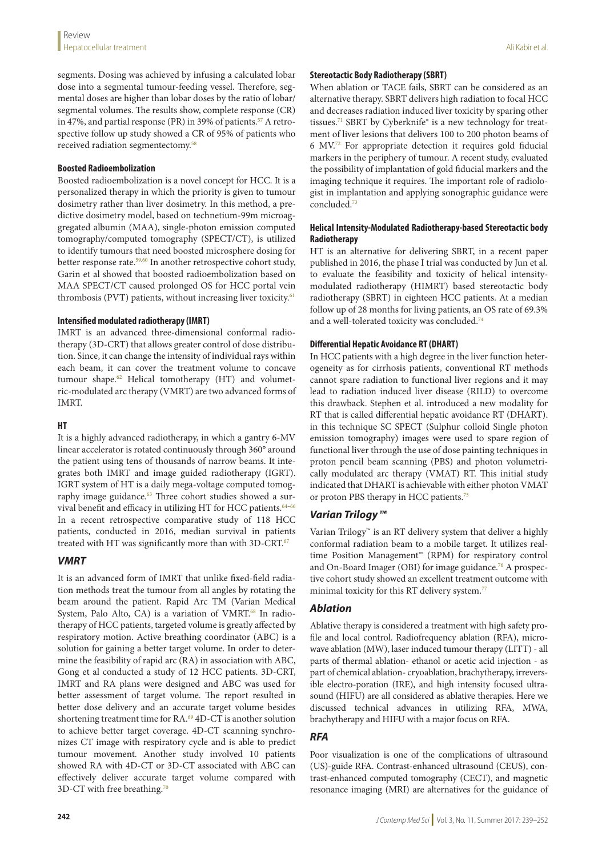segments. Dosing was achieved by infusing a calculated lobar dose into a segmental tumour-feeding vessel. Therefore, segmental doses are higher than lobar doses by the ratio of lobar/ segmental volumes. The results show, complete response (CR) in 47%, and partial response (PR) in 39% of patients.<sup>57</sup> A retrospective follow up study showed a CR of 95% of patients who received radiation segmentectomy.<sup>58</sup>

### **Boosted Radioembolization**

Boosted radioembolization is a novel concept for HCC. It is a personalized therapy in which the priority is given to tumour dosimetry rather than liver dosimetry. In this method, a predictive dosimetry model, based on technetium-99m microaggregated albumin (MAA), single-photon emission computed tomography/computed tomography (SPECT/CT), is utilized to identify tumours that need boosted microsphere dosing for better response rate.<sup>59,60</sup> In another retrospective cohort study, Garin et al showed that boosted radioembolization based on MAA SPECT/CT caused prolonged OS for HCC portal vein thrombosis (PVT) patients, without increasing liver toxicity.<sup>61</sup>

### **Intensified modulated radiotherapy (IMRT)**

IMRT is an advanced three-dimensional conformal radiotherapy (3D-CRT) that allows greater control of dose distribution. Since, it can change the intensity of individual rays within each beam, it can cover the treatment volume to concave tumour shape.62 Helical tomotherapy (HT) and volumetric-modulated arc therapy (VMRT) are two advanced forms of IMRT.

### **HT**

It is a highly advanced radiotherapy, in which a gantry 6-MV linear accelerator is rotated continuously through 360° around the patient using tens of thousands of narrow beams. It integrates both IMRT and image guided radiotherapy (IGRT). IGRT system of HT is a daily mega-voltage computed tomography image guidance.<sup>63</sup> Three cohort studies showed a survival benefit and efficacy in utilizing HT for HCC patients.<sup>64-66</sup> In a recent retrospective comparative study of 118 HCC patients, conducted in 2016, median survival in patients treated with HT was significantly more than with 3D-CRT.<sup>67</sup>

# *VMRT*

It is an advanced form of IMRT that unlike fixed-field radiation methods treat the tumour from all angles by rotating the beam around the patient. Rapid Arc TM (Varian Medical System, Palo Alto, CA) is a variation of VMRT.<sup>68</sup> In radiotherapy of HCC patients, targeted volume is greatly affected by respiratory motion. Active breathing coordinator (ABC) is a solution for gaining a better target volume. In order to determine the feasibility of rapid arc (RA) in association with ABC, Gong et al conducted a study of 12 HCC patients. 3D-CRT, IMRT and RA plans were designed and ABC was used for better assessment of target volume. The report resulted in better dose delivery and an accurate target volume besides shortening treatment time for RA.<sup>69</sup> 4D-CT is another solution to achieve better target coverage. 4D-CT scanning synchronizes CT image with respiratory cycle and is able to predict tumour movement. Another study involved 10 patients showed RA with 4D-CT or 3D-CT associated with ABC can effectively deliver accurate target volume compared with 3D-CT with free breathing.<sup>70</sup>

#### **Stereotactic Body Radiotherapy (SBRT)**

When ablation or TACE fails, SBRT can be considered as an alternative therapy. SBRT delivers high radiation to focal HCC and decreases radiation induced liver toxicity by sparing other tissues.<sup>71</sup> SBRT by Cyberknife<sup>®</sup> is a new technology for treatment of liver lesions that delivers 100 to 200 photon beams of 6 MV.72 For appropriate detection it requires gold fiducial markers in the periphery of tumour. A recent study, evaluated the possibility of implantation of gold fiducial markers and the imaging technique it requires. The important role of radiologist in implantation and applying sonographic guidance were concluded.73

# **Helical Intensity-Modulated Radiotherapy-based Stereotactic body Radiotherapy**

HT is an alternative for delivering SBRT, in a recent paper published in 2016, the phase I trial was conducted by Jun et al. to evaluate the feasibility and toxicity of helical intensitymodulated radiotherapy (HIMRT) based stereotactic body radiotherapy (SBRT) in eighteen HCC patients. At a median follow up of 28 months for living patients, an OS rate of 69.3% and a well-tolerated toxicity was concluded.<sup>74</sup>

# **Differential Hepatic Avoidance RT (DHART)**

In HCC patients with a high degree in the liver function heterogeneity as for cirrhosis patients, conventional RT methods cannot spare radiation to functional liver regions and it may lead to radiation induced liver disease (RILD) to overcome this drawback. Stephen et al. introduced a new modality for RT that is called differential hepatic avoidance RT (DHART). in this technique SC SPECT (Sulphur colloid Single photon emission tomography) images were used to spare region of functional liver through the use of dose painting techniques in proton pencil beam scanning (PBS) and photon volumetrically modulated arc therapy (VMAT) RT. This initial study indicated that DHART is achievable with either photon VMAT or proton PBS therapy in HCC patients.<sup>75</sup>

# *Varian Trilogy™*

Varian Trilogy™ is an RT delivery system that deliver a highly conformal radiation beam to a mobile target. It utilizes realtime Position Management™ (RPM) for respiratory control and On-Board Imager (OBI) for image guidance.<sup>76</sup> A prospective cohort study showed an excellent treatment outcome with minimal toxicity for this RT delivery system.<sup>77</sup>

# *Ablation*

Ablative therapy is considered a treatment with high safety profile and local control. Radiofrequency ablation (RFA), microwave ablation (MW), laser induced tumour therapy (LITT) - all parts of thermal ablation- ethanol or acetic acid injection - as part of chemical ablation- cryoablation, brachytherapy, irreversible electro-poration (IRE), and high intensity focused ultrasound (HIFU) are all considered as ablative therapies. Here we discussed technical advances in utilizing RFA, MWA, brachytherapy and HIFU with a major focus on RFA.

# *RFA*

Poor visualization is one of the complications of ultrasound (US)-guide RFA. Contrast-enhanced ultrasound (CEUS), contrast-enhanced computed tomography (CECT), and magnetic resonance imaging (MRI) are alternatives for the guidance of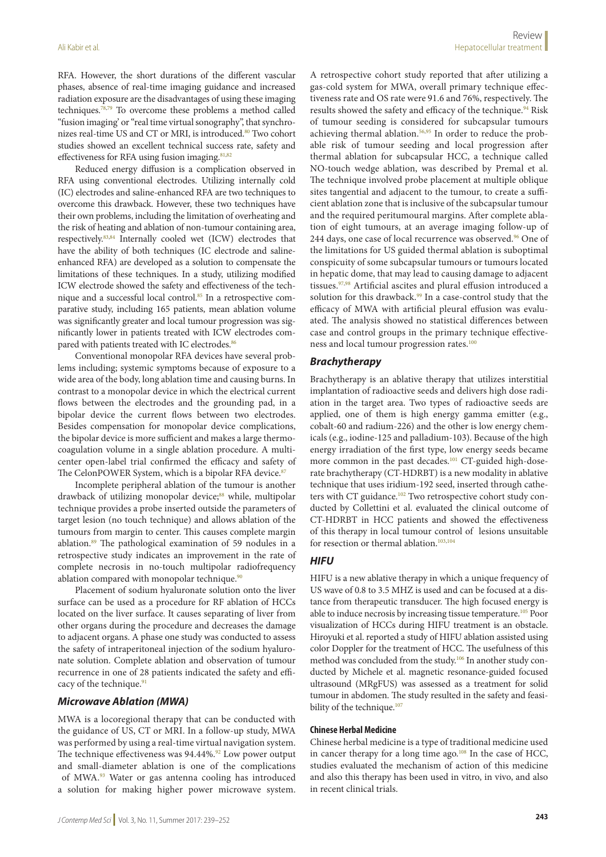RFA. However, the short durations of the different vascular phases, absence of real-time imaging guidance and increased radiation exposure are the disadvantages of using these imaging techniques.78,79 To overcome these problems a method called "fusion imaging' or "real time virtual sonography", that synchronizes real-time US and CT or MRI, is introduced.<sup>80</sup> Two cohort studies showed an excellent technical success rate, safety and effectiveness for RFA using fusion imaging.<sup>81,82</sup>

Reduced energy diffusion is a complication observed in RFA using conventional electrodes. Utilizing internally cold (IC) electrodes and saline-enhanced RFA are two techniques to overcome this drawback. However, these two techniques have their own problems, including the limitation of overheating and the risk of heating and ablation of non-tumour containing area, respectively.83,84 Internally cooled wet (ICW) electrodes that have the ability of both techniques (IC electrode and salineenhanced RFA) are developed as a solution to compensate the limitations of these techniques. In a study, utilizing modified ICW electrode showed the safety and effectiveness of the technique and a successful local control.85 In a retrospective comparative study, including 165 patients, mean ablation volume was significantly greater and local tumour progression was significantly lower in patients treated with ICW electrodes compared with patients treated with IC electrodes.<sup>86</sup>

Conventional monopolar RFA devices have several problems including; systemic symptoms because of exposure to a wide area of the body, long ablation time and causing burns. In contrast to a monopolar device in which the electrical current flows between the electrodes and the grounding pad, in a bipolar device the current flows between two electrodes. Besides compensation for monopolar device complications, the bipolar device is more sufficient and makes a large thermocoagulation volume in a single ablation procedure. A multicenter open-label trial confirmed the efficacy and safety of The CelonPOWER System, which is a bipolar RFA device.<sup>87</sup>

Incomplete peripheral ablation of the tumour is another drawback of utilizing monopolar device;<sup>88</sup> while, multipolar technique provides a probe inserted outside the parameters of target lesion (no touch technique) and allows ablation of the tumours from margin to center. This causes complete margin ablation.89 The pathological examination of 59 nodules in a retrospective study indicates an improvement in the rate of complete necrosis in no-touch multipolar radiofrequency ablation compared with monopolar technique. $90$ 

Placement of sodium hyaluronate solution onto the liver surface can be used as a procedure for RF ablation of HCCs located on the liver surface. It causes separating of liver from other organs during the procedure and decreases the damage to adjacent organs. A phase one study was conducted to assess the safety of intraperitoneal injection of the sodium hyaluronate solution. Complete ablation and observation of tumour recurrence in one of 28 patients indicated the safety and efficacy of the technique.<sup>91</sup>

#### *Microwave Ablation (MWA)*

MWA is a locoregional therapy that can be conducted with the guidance of US, CT or MRI. In a follow-up study, MWA was performed by using a real-time virtual navigation system. The technique effectiveness was  $94.44\%$ .<sup>92</sup> Low power output and small-diameter ablation is one of the complications of MWA.93 Water or gas antenna cooling has introduced a solution for making higher power microwave system.

A retrospective cohort study reported that after utilizing a gas-cold system for MWA, overall primary technique effectiveness rate and OS rate were 91.6 and 76%, respectively. The results showed the safety and efficacy of the technique.<sup>94</sup> Risk of tumour seeding is considered for subcapsular tumours achieving thermal ablation.<sup>56,95</sup> In order to reduce the probable risk of tumour seeding and local progression after thermal ablation for subcapsular HCC, a technique called NO-touch wedge ablation, was described by Premal et al. The technique involved probe placement at multiple oblique sites tangential and adjacent to the tumour, to create a sufficient ablation zone that is inclusive of the subcapsular tumour and the required peritumoural margins. After complete ablation of eight tumours, at an average imaging follow-up of 244 days, one case of local recurrence was observed.<sup>96</sup> One of the limitations for US guided thermal ablation is suboptimal conspicuity of some subcapsular tumours or tumours located in hepatic dome, that may lead to causing damage to adjacent tissues.<sup>97,98</sup> Artificial ascites and plural effusion introduced a solution for this drawback.<sup>99</sup> In a case-control study that the efficacy of MWA with artificial pleural effusion was evaluated. The analysis showed no statistical differences between case and control groups in the primary technique effectiveness and local tumour progression rates.<sup>100</sup>

# *Brachytherapy*

Brachytherapy is an ablative therapy that utilizes interstitial implantation of radioactive seeds and delivers high dose radiation in the target area. Two types of radioactive seeds are applied, one of them is high energy gamma emitter (e.g., cobalt-60 and radium-226) and the other is low energy chemicals (e.g., iodine-125 and palladium-103). Because of the high energy irradiation of the first type, low energy seeds became more common in the past decades.<sup>101</sup> CT-guided high-doserate brachytherapy (CT-HDRBT) is a new modality in ablative technique that uses iridium-192 seed, inserted through catheters with CT guidance.<sup>102</sup> Two retrospective cohort study conducted by Collettini et al. evaluated the clinical outcome of CT-HDRBT in HCC patients and showed the effectiveness of this therapy in local tumour control of lesions unsuitable for resection or thermal ablation.<sup>103,104</sup>

#### *HIFU*

HIFU is a new ablative therapy in which a unique frequency of US wave of 0.8 to 3.5 MHZ is used and can be focused at a distance from therapeutic transducer. The high focused energy is able to induce necrosis by increasing tissue temperature.<sup>105</sup> Poor visualization of HCCs during HIFU treatment is an obstacle. Hiroyuki et al. reported a study of HIFU ablation assisted using color Doppler for the treatment of HCC. The usefulness of this method was concluded from the study.<sup>106</sup> In another study conducted by Michele et al. magnetic resonance-guided focused ultrasound (MRgFUS) was assessed as a treatment for solid tumour in abdomen. The study resulted in the safety and feasibility of the technique.<sup>107</sup>

#### **Chinese Herbal Medicine**

Chinese herbal medicine is a type of traditional medicine used in cancer therapy for a long time ago.<sup>108</sup> In the case of HCC, studies evaluated the mechanism of action of this medicine and also this therapy has been used in vitro, in vivo, and also in recent clinical trials.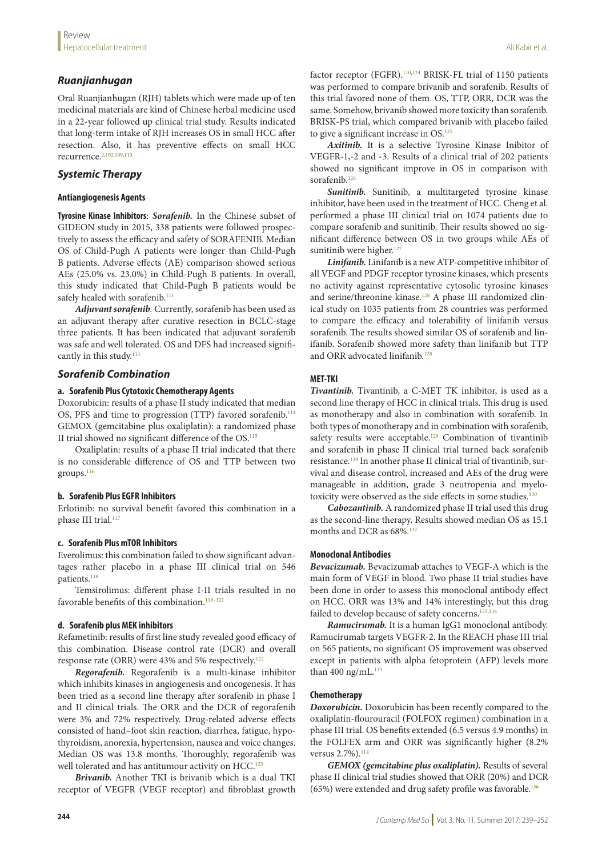# *Ruanjianhugan*

Oral Ruanjianhugan (RJH) tablets which were made up of ten medicinal materials are kind of Chinese herbal medicine used in a 22-year followed up clinical trial study. Results indicated that long-term intake of RJH increases OS in small HCC after resection. Also, it has preventive effects on small HCC recurrence.<sup>2,102,109,110</sup>

# *Systemic Therapy*

### **Antiangiogenesis Agents**

**Tyrosine Kinase Inhibitors**: *Sorafenib.* In the Chinese subset of GIDEON study in 2015, 338 patients were followed prospectively to assess the efficacy and safety of SORAFENIB. Median OS of Child-Pugh A patients were longer than Child-Pugh B patients. Adverse effects (AE) comparison showed serious AEs (25.0% vs. 23.0%) in Child-Pugh B patients. In overall, this study indicated that Child-Pugh B patients would be safely healed with sorafenib.<sup>111</sup>

*Adjuvant sorafenib.* Currently, sorafenib has been used as an adjuvant therapy after curative resection in BCLC-stage three patients. It has been indicated that adjuvant sorafenib was safe and well tolerated. OS and DFS had increased significantly in this study. $113$ 

# *Sorafenib Combination*

### **a. Sorafenib Plus Cytotoxic Chemotherapy Agents**

Doxorubicin: results of a phase II study indicated that median OS, PFS and time to progression (TTP) favored sorafenib.<sup>114</sup> GEMOX (gemcitabine plus oxaliplatin): a randomized phase II trial showed no significant difference of the OS.115

Oxaliplatin: results of a phase II trial indicated that there is no considerable difference of OS and TTP between two groups.<sup>116</sup>

# **b. Sorafenib Plus EGFR Inhibitors**

Erlotinib: no survival benefit favored this combination in a phase III trial.<sup>117</sup>

# **c. Sorafenib Plus mTOR Inhibitors**

Everolimus: this combination failed to show significant advantages rather placebo in a phase III clinical trial on 546 patients.<sup>118</sup>

Temsirolimus: different phase I-II trials resulted in no favorable benefits of this combination.<sup>119-121</sup>

#### **d. Sorafenib plus MEK inhibitors**

Refametinib: results of first line study revealed good efficacy of this combination. Disease control rate (DCR) and overall response rate (ORR) were 43% and 5% respectively.122

*Regorafenib.* Regorafenib is a multi-kinase inhibitor which inhibits kinases in angiogenesis and oncogenesis. It has been tried as a second line therapy after sorafenib in phase I and II clinical trials. The ORR and the DCR of regorafenib were 3% and 72% respectively. Drug-related adverse effects consisted of hand–foot skin reaction, diarrhea, fatigue, hypothyroidism, anorexia, hypertension, nausea and voice changes. Median OS was 13.8 months. Thoroughly, regorafenib was well tolerated and has antitumour activity on HCC.<sup>123</sup>

*Brivanib.* Another TKI is brivanib which is a dual TKI receptor of VEGFR (VEGF receptor) and fibroblast growth factor receptor (FGFR).<sup>110,124</sup> BRISK-FL trial of 1150 patients was performed to compare brivanib and sorafenib. Results of this trial favored none of them. OS, TTP, ORR, DCR was the same. Somehow, brivanib showed more toxicity than sorafenib. BRISK-PS trial, which compared brivanib with placebo failed to give a significant increase in  $OS$ .<sup>125</sup>

*Axitinib.* It is a selective Tyrosine Kinase Inibitor of VEGFR-1,-2 and -3. Results of a clinical trial of 202 patients showed no significant improve in OS in comparison with sorafenib.<sup>126</sup>

*Sunitinib.* Sunitinib, a multitargeted tyrosine kinase inhibitor, have been used in the treatment of HCC. Cheng et al. performed a phase III clinical trial on 1074 patients due to compare sorafenib and sunitinib. Their results showed no significant difference between OS in two groups while AEs of sunitinib were higher.<sup>127</sup>

*Linifanib.* Linifanib is a new ATP-competitive inhibitor of all VEGF and PDGF receptor tyrosine kinases, which presents no activity against representative cytosolic tyrosine kinases and serine/threonine kinase.<sup>128</sup> A phase III randomized clinical study on 1035 patients from 28 countries was performed to compare the efficacy and tolerability of linifanib versus sorafenib. The results showed similar OS of sorafenib and linifanib. Sorafenib showed more safety than linifanib but TTP and ORR advocated linifanib.<sup>128</sup>

# **MET-TKI**

*Tivantinib.* Tivantinib, a C-MET TK inhibitor, is used as a second line therapy of HCC in clinical trials. This drug is used as monotherapy and also in combination with sorafenib. In both types of monotherapy and in combination with sorafenib, safety results were acceptable.<sup>129</sup> Combination of tivantinib and sorafenib in phase II clinical trial turned back sorafenib resistance.<sup>130</sup> In another phase II clinical trial of tivantinib, survival and disease control, increased and AEs of the drug were manageable in addition, grade 3 neutropenia and myelotoxicity were observed as the side effects in some studies.<sup>130</sup>

*Cabozantinib.* A randomized phase II trial used this drug as the second-line therapy. Results showed median OS as 15.1 months and DCR as 68%.<sup>132</sup>

#### **Monoclonal Antibodies**

*Bevacizumab.* Bevacizumab attaches to VEGF-A which is the main form of VEGF in blood. Two phase II trial studies have been done in order to assess this monoclonal antibody effect on HCC. ORR was 13% and 14% interestingly, but this drug failed to develop because of safety concerns.<sup>133,134</sup>

*Ramucirumab.* It is a human IgG1 monoclonal antibody. Ramucirumab targets VEGFR-2. In the REACH phase III trial on 565 patients, no significant OS improvement was observed except in patients with alpha fetoprotein (AFP) levels more than 400 ng/mL. $^{135}$ 

# **Chemotherapy**

*Doxorubicin.* Doxorubicin has been recently compared to the oxaliplatin-flourouracil (FOLFOX regimen) combination in a phase III trial. OS benefits extended (6.5 versus 4.9 months) in the FOLFEX arm and ORR was significantly higher (8.2% versus 2.7%).<sup>114</sup>

*GEMOX (gemcitabine plus oxaliplatin).* Results of several phase II clinical trial studies showed that ORR (20%) and DCR (65%) were extended and drug safety profile was favorable.136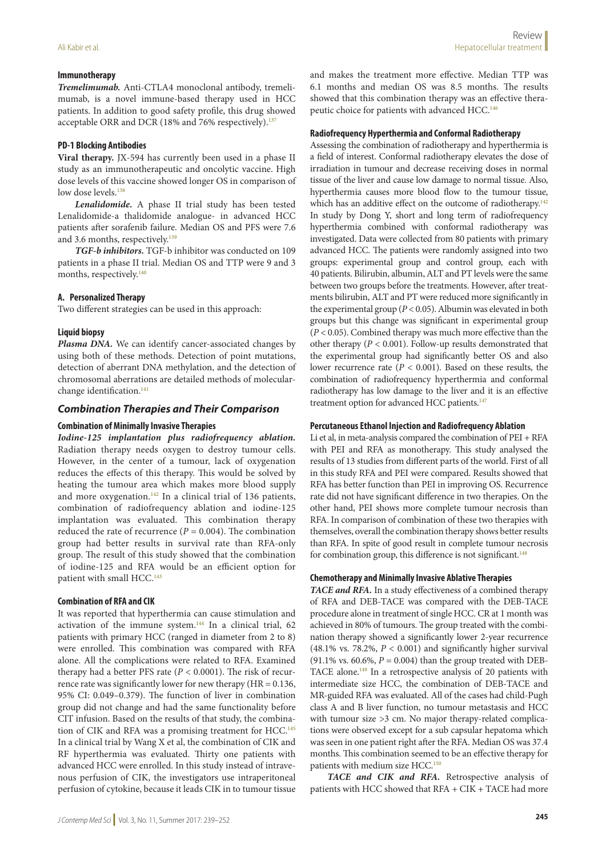### **Immunotherapy**

*Tremelimumab.* Anti-CTLA4 monoclonal antibody, tremelimumab, is a novel immune-based therapy used in HCC patients. In addition to good safety profile, this drug showed acceptable ORR and DCR (18% and 76% respectively).<sup>137</sup>

#### **PD-1 Blocking Antibodies**

**Viral therapy.** JX-594 has currently been used in a phase II study as an immunotherapeutic and oncolytic vaccine. High dose levels of this vaccine showed longer OS in comparison of low dose levels.<sup>138</sup>

*Lenalidomide.* A phase II trial study has been tested Lenalidomide-a thalidomide analogue- in advanced HCC patients after sorafenib failure. Median OS and PFS were 7.6 and 3.6 months, respectively.<sup>139</sup>

*TGF-b inhibitors.* TGF-b inhibitor was conducted on 109 patients in a phase II trial. Median OS and TTP were 9 and 3 months, respectively.<sup>140</sup>

### **A. Personalized Therapy**

Two different strategies can be used in this approach:

# **Liquid biopsy**

*Plasma DNA.* We can identify cancer-associated changes by using both of these methods. Detection of point mutations, detection of aberrant DNA methylation, and the detection of chromosomal aberrations are detailed methods of molecularchange identification.<sup>141</sup>

# *Combination Therapies and Their Comparison*

### **Combination of Minimally Invasive Therapies**

*Iodine-125 implantation plus radiofrequency ablation.* Radiation therapy needs oxygen to destroy tumour cells. However, in the center of a tumour, lack of oxygenation reduces the effects of this therapy. This would be solved by heating the tumour area which makes more blood supply and more oxygenation.<sup>142</sup> In a clinical trial of 136 patients, combination of radiofrequency ablation and iodine-125 implantation was evaluated. This combination therapy reduced the rate of recurrence  $(P = 0.004)$ . The combination group had better results in survival rate than RFA-only group. The result of this study showed that the combination of iodine-125 and RFA would be an efficient option for patient with small HCC.<sup>143</sup>

#### **Combination of RFA and CIK**

It was reported that hyperthermia can cause stimulation and activation of the immune system. $144$  In a clinical trial, 62 patients with primary HCC (ranged in diameter from 2 to 8) were enrolled. This combination was compared with RFA alone. All the complications were related to RFA. Examined therapy had a better PFS rate (*P* < 0.0001). The risk of recurrence rate was significantly lower for new therapy (HR = 0.136, 95% CI: 0.049–0.379). The function of liver in combination group did not change and had the same functionality before CIT infusion. Based on the results of that study, the combination of CIK and RFA was a promising treatment for HCC.<sup>145</sup> In a clinical trial by Wang X et al, the combination of CIK and RF hyperthermia was evaluated. Thirty one patients with advanced HCC were enrolled. In this study instead of intravenous perfusion of CIK, the investigators use intraperitoneal perfusion of cytokine, because it leads CIK in to tumour tissue and makes the treatment more effective. Median TTP was 6.1 months and median OS was 8.5 months. The results showed that this combination therapy was an effective therapeutic choice for patients with advanced HCC.<sup>146</sup>

#### **Radiofrequency Hyperthermia and Conformal Radiotherapy**

Assessing the combination of radiotherapy and hyperthermia is a field of interest. Conformal radiotherapy elevates the dose of irradiation in tumour and decrease receiving doses in normal tissue of the liver and cause low damage to normal tissue. Also, hyperthermia causes more blood flow to the tumour tissue, which has an additive effect on the outcome of radiotherapy.<sup>142</sup> In study by Dong Y, short and long term of radiofrequency hyperthermia combined with conformal radiotherapy was investigated. Data were collected from 80 patients with primary advanced HCC. The patients were randomly assigned into two groups: experimental group and control group, each with 40 patients. Bilirubin, albumin, ALT and PT levels were the same between two groups before the treatments. However, after treatments bilirubin, ALT and PT were reduced more significantly in the experimental group (*P* < 0.05). Albumin was elevated in both groups but this change was significant in experimental group (*P* < 0.05). Combined therapy was much more effective than the other therapy (*P* < 0.001). Follow-up results demonstrated that the experimental group had significantly better OS and also lower recurrence rate (*P* < 0.001). Based on these results, the combination of radiofrequency hyperthermia and conformal radiotherapy has low damage to the liver and it is an effective treatment option for advanced HCC patients.<sup>147</sup>

#### **Percutaneous Ethanol Injection and Radiofrequency Ablation**

Li et al, in meta-analysis compared the combination of PEI + RFA with PEI and RFA as monotherapy. This study analysed the results of 13 studies from different parts of the world. First of all in this study RFA and PEI were compared. Results showed that RFA has better function than PEI in improving OS. Recurrence rate did not have significant difference in two therapies. On the other hand, PEI shows more complete tumour necrosis than RFA. In comparison of combination of these two therapies with themselves, overall the combination therapy shows better results than RFA. In spite of good result in complete tumour necrosis for combination group, this difference is not significant.<sup>148</sup>

#### **Chemotherapy and Minimally Invasive Ablative Therapies**

*TACE and RFA.* In a study effectiveness of a combined therapy of RFA and DEB-TACE was compared with the DEB-TACE procedure alone in treatment of single HCC. CR at 1 month was achieved in 80% of tumours. The group treated with the combination therapy showed a significantly lower 2-year recurrence (48.1% vs. 78.2%,  $P < 0.001$ ) and significantly higher survival (91.1% vs. 60.6%,  $P = 0.004$ ) than the group treated with DEB-TACE alone.<sup>149</sup> In a retrospective analysis of 20 patients with intermediate size HCC, the combination of DEB-TACE and MR-guided RFA was evaluated. All of the cases had child-Pugh class A and B liver function, no tumour metastasis and HCC with tumour size >3 cm. No major therapy-related complications were observed except for a sub capsular hepatoma which was seen in one patient right after the RFA. Median OS was 37.4 months. This combination seemed to be an effective therapy for patients with medium size HCC.<sup>150</sup>

*TACE and CIK and RFA.* Retrospective analysis of patients with HCC showed that RFA + CIK + TACE had more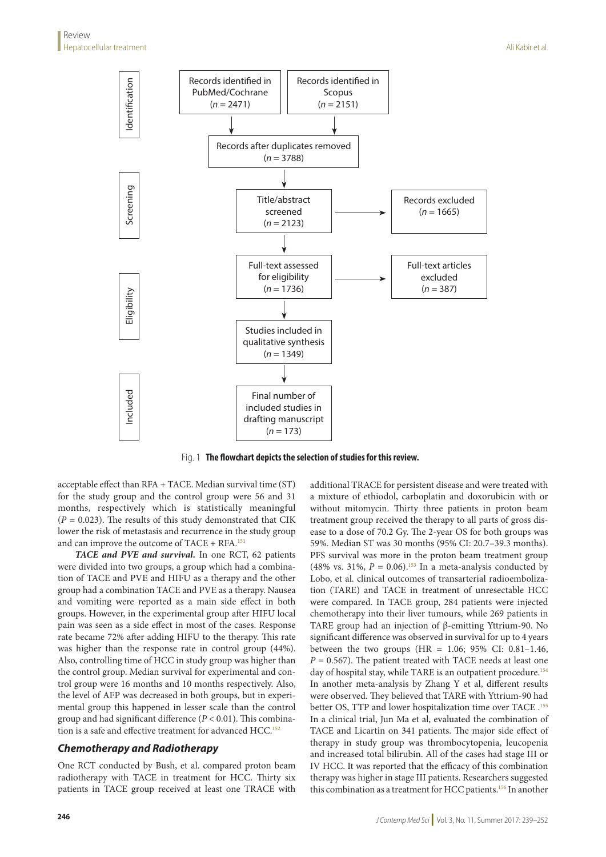

Fig. 1 **The flowchart depicts the selection of studies for this review.**

acceptable effect than RFA + TACE. Median survival time (ST) for the study group and the control group were 56 and 31 months, respectively which is statistically meaningful  $(P = 0.023)$ . The results of this study demonstrated that CIK lower the risk of metastasis and recurrence in the study group and can improve the outcome of  $TACE + RFA$ .<sup>151</sup>

*TACE and PVE and survival.* In one RCT, 62 patients were divided into two groups, a group which had a combination of TACE and PVE and HIFU as a therapy and the other group had a combination TACE and PVE as a therapy. Nausea and vomiting were reported as a main side effect in both groups. However, in the experimental group after HIFU local pain was seen as a side effect in most of the cases. Response rate became 72% after adding HIFU to the therapy. This rate was higher than the response rate in control group (44%). Also, controlling time of HCC in study group was higher than the control group. Median survival for experimental and control group were 16 months and 10 months respectively. Also, the level of AFP was decreased in both groups, but in experimental group this happened in lesser scale than the control group and had significant difference (*P* < 0.01). This combination is a safe and effective treatment for advanced HCC.<sup>152</sup>

# *Chemotherapy and Radiotherapy*

One RCT conducted by Bush, et al. compared proton beam radiotherapy with TACE in treatment for HCC. Thirty six patients in TACE group received at least one TRACE with additional TRACE for persistent disease and were treated with a mixture of ethiodol, carboplatin and doxorubicin with or without mitomycin. Thirty three patients in proton beam treatment group received the therapy to all parts of gross disease to a dose of 70.2 Gy. The 2-year OS for both groups was 59%. Median ST was 30 months (95% CI: 20.7–39.3 months). PFS survival was more in the proton beam treatment group (48% vs. 31%,  $P = 0.06$ ).<sup>153</sup> In a meta-analysis conducted by Lobo, et al. clinical outcomes of transarterial radioembolization (TARE) and TACE in treatment of unresectable HCC were compared. In TACE group, 284 patients were injected chemotherapy into their liver tumours, while 269 patients in TARE group had an injection of β-emitting Yttrium-90. No significant difference was observed in survival for up to 4 years between the two groups (HR =  $1.06$ ; 95% CI: 0.81-1.46,  $P = 0.567$ ). The patient treated with TACE needs at least one day of hospital stay, while TARE is an outpatient procedure.<sup>154</sup> In another meta-analysis by Zhang Y et al, different results were observed. They believed that TARE with Yttrium-90 had better OS, TTP and lower hospitalization time over TACE .155 In a clinical trial, Jun Ma et al, evaluated the combination of TACE and Licartin on 341 patients. The major side effect of therapy in study group was thrombocytopenia, leucopenia and increased total bilirubin. All of the cases had stage III or IV HCC. It was reported that the efficacy of this combination therapy was higher in stage III patients. Researchers suggested this combination as a treatment for HCC patients.<sup>156</sup> In another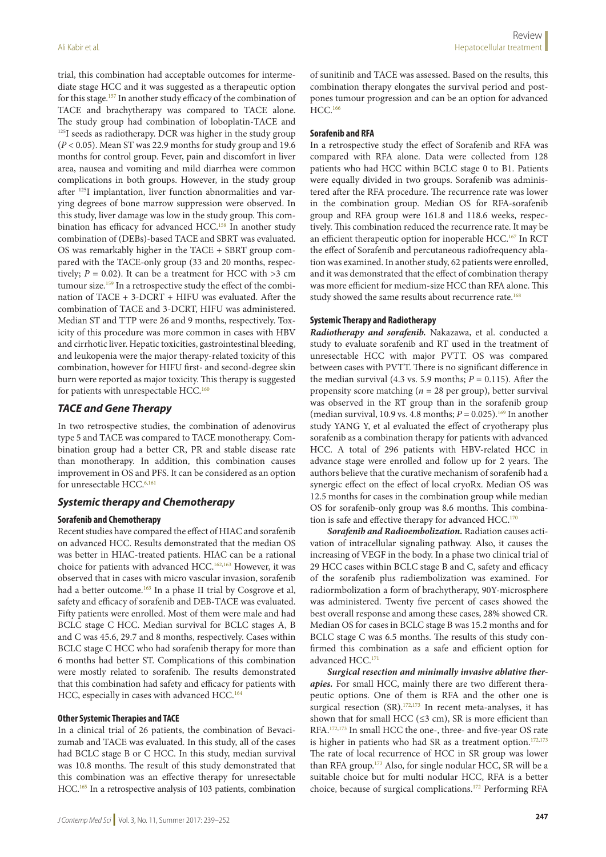trial, this combination had acceptable outcomes for intermediate stage HCC and it was suggested as a therapeutic option for this stage.157 In another study efficacy of the combination of TACE and brachytherapy was compared to TACE alone. The study group had combination of loboplatin-TACE and <sup>125</sup>I seeds as radiotherapy. DCR was higher in the study group (*P* < 0.05). Mean ST was 22.9 months for study group and 19.6 months for control group. Fever, pain and discomfort in liver area, nausea and vomiting and mild diarrhea were common complications in both groups. However, in the study group after 125I implantation, liver function abnormalities and varying degrees of bone marrow suppression were observed. In this study, liver damage was low in the study group. This combination has efficacy for advanced HCC.<sup>158</sup> In another study combination of (DEBs)-based TACE and SBRT was evaluated. OS was remarkably higher in the TACE + SBRT group compared with the TACE-only group (33 and 20 months, respectively;  $P = 0.02$ ). It can be a treatment for HCC with  $>3$  cm tumour size.<sup>159</sup> In a retrospective study the effect of the combination of TACE + 3-DCRT + HIFU was evaluated. After the combination of TACE and 3-DCRT, HIFU was administered. Median ST and TTP were 26 and 9 months, respectively. Toxicity of this procedure was more common in cases with HBV and cirrhotic liver. Hepatic toxicities, gastrointestinal bleeding, and leukopenia were the major therapy-related toxicity of this combination, however for HIFU first- and second-degree skin burn were reported as major toxicity. This therapy is suggested for patients with unrespectable HCC.<sup>160</sup>

# *TACE and Gene Therapy*

In two retrospective studies, the combination of adenovirus type 5 and TACE was compared to TACE monotherapy. Combination group had a better CR, PR and stable disease rate than monotherapy. In addition, this combination causes improvement in OS and PFS. It can be considered as an option for unresectable HCC.<sup>6,161</sup>

#### *Systemic therapy and Chemotherapy*

#### **Sorafenib and Chemotherapy**

Recent studies have compared the effect of HIAC and sorafenib on advanced HCC. Results demonstrated that the median OS was better in HIAC-treated patients. HIAC can be a rational choice for patients with advanced HCC.162,163 However, it was observed that in cases with micro vascular invasion, sorafenib had a better outcome.<sup>163</sup> In a phase II trial by Cosgrove et al, safety and efficacy of sorafenib and DEB-TACE was evaluated. Fifty patients were enrolled. Most of them were male and had BCLC stage C HCC. Median survival for BCLC stages A, B and C was 45.6, 29.7 and 8 months, respectively. Cases within BCLC stage C HCC who had sorafenib therapy for more than 6 months had better ST. Complications of this combination were mostly related to sorafenib. The results demonstrated that this combination had safety and efficacy for patients with HCC, especially in cases with advanced HCC.<sup>164</sup>

#### **Other Systemic Therapies and TACE**

In a clinical trial of 26 patients, the combination of Bevacizumab and TACE was evaluated. In this study, all of the cases had BCLC stage B or C HCC. In this study, median survival was 10.8 months. The result of this study demonstrated that this combination was an effective therapy for unresectable HCC.165 In a retrospective analysis of 103 patients, combination of sunitinib and TACE was assessed. Based on the results, this combination therapy elongates the survival period and postpones tumour progression and can be an option for advanced HCC.166

#### **Sorafenib and RFA**

In a retrospective study the effect of Sorafenib and RFA was compared with RFA alone. Data were collected from 128 patients who had HCC within BCLC stage 0 to B1. Patients were equally divided in two groups. Sorafenib was administered after the RFA procedure. The recurrence rate was lower in the combination group. Median OS for RFA-sorafenib group and RFA group were 161.8 and 118.6 weeks, respectively. This combination reduced the recurrence rate. It may be an efficient therapeutic option for inoperable HCC.<sup>167</sup> In RCT the effect of Sorafenib and percutaneous radiofrequency ablation was examined. In another study, 62 patients were enrolled, and it was demonstrated that the effect of combination therapy was more efficient for medium-size HCC than RFA alone. This study showed the same results about recurrence rate.<sup>168</sup>

#### **Systemic Therapy and Radiotherapy**

*Radiotherapy and sorafenib.* Nakazawa, et al. conducted a study to evaluate sorafenib and RT used in the treatment of unresectable HCC with major PVTT. OS was compared between cases with PVTT. There is no significant difference in the median survival  $(4.3 \text{ vs. } 5.9 \text{ months}; P = 0.115)$ . After the propensity score matching ( $n = 28$  per group), better survival was observed in the RT group than in the sorafenib group (median survival, 10.9 vs. 4.8 months;  $P = 0.025$ ).<sup>169</sup> In another study YANG Y, et al evaluated the effect of cryotherapy plus sorafenib as a combination therapy for patients with advanced HCC. A total of 296 patients with HBV-related HCC in advance stage were enrolled and follow up for 2 years. The authors believe that the curative mechanism of sorafenib had a synergic effect on the effect of local cryoRx. Median OS was 12.5 months for cases in the combination group while median OS for sorafenib-only group was 8.6 months. This combination is safe and effective therapy for advanced HCC.<sup>170</sup>

*Sorafenib and Radioembolization.* Radiation causes activation of intracellular signaling pathway. Also, it causes the increasing of VEGF in the body. In a phase two clinical trial of 29 HCC cases within BCLC stage B and C, safety and efficacy of the sorafenib plus radiembolization was examined. For radiormbolization a form of brachytherapy, 90Y-microsphere was administered. Twenty five percent of cases showed the best overall response and among these cases, 28% showed CR. Median OS for cases in BCLC stage B was 15.2 months and for BCLC stage C was 6.5 months. The results of this study confirmed this combination as a safe and efficient option for advanced HCC.171

*Surgical resection and minimally invasive ablative therapies.* For small HCC, mainly there are two different therapeutic options. One of them is RFA and the other one is surgical resection (SR).<sup>172,173</sup> In recent meta-analyses, it has shown that for small HCC ( $\leq$ 3 cm), SR is more efficient than RFA.172,173 In small HCC the one-, three- and five-year OS rate is higher in patients who had SR as a treatment option.<sup>172,173</sup> The rate of local recurrence of HCC in SR group was lower than RFA group.173 Also, for single nodular HCC, SR will be a suitable choice but for multi nodular HCC, RFA is a better choice, because of surgical complications.172 Performing RFA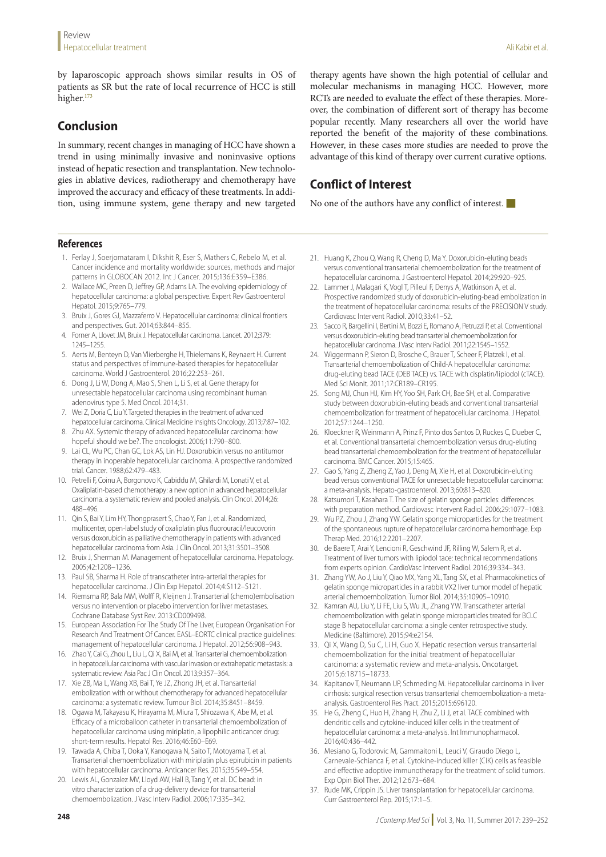by laparoscopic approach shows similar results in OS of patients as SR but the rate of local recurrence of HCC is still higher.<sup>173</sup>

# **Conclusion**

In summary, recent changes in managing of HCC have shown a trend in using minimally invasive and noninvasive options instead of hepatic resection and transplantation. New technologies in ablative devices, radiotherapy and chemotherapy have improved the accuracy and efficacy of these treatments. In addition, using immune system, gene therapy and new targeted therapy agents have shown the high potential of cellular and molecular mechanisms in managing HCC. However, more RCTs are needed to evaluate the effect of these therapies. Moreover, the combination of different sort of therapy has become popular recently. Many researchers all over the world have reported the benefit of the majority of these combinations. However, in these cases more studies are needed to prove the advantage of this kind of therapy over current curative options.

# **Conflict of Interest**

No one of the authors have any conflict of interest.  $\blacksquare$ 

# **References**

- 1. Ferlay J, Soerjomataram I, Dikshit R, Eser S, Mathers C, Rebelo M, et al. Cancer incidence and mortality worldwide: sources, methods and major patterns in GLOBOCAN 2012. Int J Cancer. 2015;136:E359–E386.
- 2. Wallace MC, Preen D, Jeffrey GP, Adams LA. The evolving epidemiology of hepatocellular carcinoma: a global perspective. Expert Rev Gastroenterol Hepatol. 2015;9:765–779.
- 3. Bruix J, Gores GJ, Mazzaferro V. Hepatocellular carcinoma: clinical frontiers and perspectives. Gut. 2014;63:844–855.
- 4. Forner A, Llovet JM, Bruix J. Hepatocellular carcinoma. Lancet. 2012;379: 1245–1255.
- 5. Aerts M, Benteyn D, Van Vlierberghe H, Thielemans K, Reynaert H. Current status and perspectives of immune-based therapies for hepatocellular carcinoma. World J Gastroenterol. 2016;22:253–261.
- 6. Dong J, Li W, Dong A, Mao S, Shen L, Li S, et al. Gene therapy for unresectable hepatocellular carcinoma using recombinant human adenovirus type 5. Med Oncol. 2014;31.
- 7. Wei Z, Doria C, Liu Y. Targeted therapies in the treatment of advanced hepatocellular carcinoma. Clinical Medicine Insights Oncology. 2013;7:87–102.
- 8. Zhu AX. Systemic therapy of advanced hepatocellular carcinoma: how hopeful should we be?. The oncologist. 2006;11:790–800.
- 9. Lai CL, Wu PC, Chan GC, Lok AS, Lin HJ. Doxorubicin versus no antitumor therapy in inoperable hepatocellular carcinoma. A prospective randomized trial. Cancer. 1988;62:479–483.
- 10. Petrelli F, Coinu A, Borgonovo K, Cabiddu M, Ghilardi M, Lonati V, et al. Oxaliplatin-based chemotherapy: a new option in advanced hepatocellular carcinoma. a systematic review and pooled analysis. Clin Oncol. 2014;26: 488–496.
- 11. Qin S, Bai Y, Lim HY, Thongprasert S, Chao Y, Fan J, et al. Randomized, multicenter, open-label study of oxaliplatin plus fluorouracil/leucovorin versus doxorubicin as palliative chemotherapy in patients with advanced hepatocellular carcinoma from Asia. J Clin Oncol. 2013;31:3501–3508.
- 12. Bruix J, Sherman M. Management of hepatocellular carcinoma. Hepatology. 2005;42:1208–1236.
- Paul SB, Sharma H. Role of transcatheter intra-arterial therapies for hepatocellular carcinoma. J Clin Exp Hepatol. 2014;4:S112–S121.
- 14. Riemsma RP, Bala MM, Wolff R, Kleijnen J. Transarterial (chemo)embolisation versus no intervention or placebo intervention for liver metastases. Cochrane Database Syst Rev. 2013:CD009498.
- 15. European Association For The Study Of The Liver, European Organisation For Research And Treatment Of Cancer. EASL–EORTC clinical practice guidelines: management of hepatocellular carcinoma. J Hepatol. 2012;56:908–943.
- 16. Zhao Y, Cai G, Zhou L, Liu L, Qi X, Bai M, et al. Transarterial chemoembolization in hepatocellular carcinoma with vascular invasion or extrahepatic metastasis: a systematic review. Asia Pac J Clin Oncol. 2013;9:357–364.
- 17. Xie ZB, Ma L, Wang XB, Bai T, Ye JZ, Zhong JH, et al. Transarterial embolization with or without chemotherapy for advanced hepatocellular carcinoma: a systematic review. Tumour Biol. 2014;35:8451–8459.
- 18. Ogawa M, Takayasu K, Hirayama M, Miura T, Shiozawa K, Abe M, et al. Efficacy of a microballoon catheter in transarterial chemoembolization of hepatocellular carcinoma using miriplatin, a lipophilic anticancer drug: short-term results. Hepatol Res. 2016;46:E60–E69.
- 19. Tawada A, Chiba T, Ooka Y, Kanogawa N, Saito T, Motoyama T, et al. Transarterial chemoembolization with miriplatin plus epirubicin in patients with hepatocellular carcinoma. Anticancer Res. 2015;35:549–554.
- 20. Lewis AL, Gonzalez MV, Lloyd AW, Hall B, Tang Y, et al. DC bead: in vitro characterization of a drug-delivery device for transarterial chemoembolization. J Vasc Interv Radiol. 2006;17:335–342.
- 21. Huang K, Zhou Q, Wang R, Cheng D, Ma Y. Doxorubicin-eluting beads versus conventional transarterial chemoembolization for the treatment of hepatocellular carcinoma. J Gastroenterol Hepatol. 2014;29:920–925.
- 22. Lammer J, Malagari K, Vogl T, Pilleul F, Denys A, Watkinson A, et al. Prospective randomized study of doxorubicin-eluting-bead embolization in the treatment of hepatocellular carcinoma: results of the PRECISION V study. Cardiovasc Intervent Radiol. 2010;33:41–52.
- 23. Sacco R, Bargellini I, Bertini M, Bozzi E, Romano A, Petruzzi P, et al. Conventional versus doxorubicin-eluting bead transarterial chemoembolization for hepatocellular carcinoma. J Vasc Interv Radiol. 2011;22:1545–1552.
- 24. Wiggermann P, Sieron D, Brosche C, Brauer T, Scheer F, Platzek I, et al. Transarterial chemoembolization of Child-A hepatocellular carcinoma: drug-eluting bead TACE (DEB TACE) vs. TACE with cisplatin/lipiodol (cTACE). Med Sci Monit. 2011;17:CR189–CR195.
- 25. Song MJ, Chun HJ, Kim HY, Yoo SH, Park CH, Bae SH, et al. Comparative study between doxorubicin-eluting beads and conventional transarterial chemoembolization for treatment of hepatocellular carcinoma. J Hepatol. 2012;57:1244–1250.
- 26. Kloeckner R, Weinmann A, Prinz E, Pinto dos Santos D, Ruckes C, Dueber C, et al. Conventional transarterial chemoembolization versus drug-eluting bead transarterial chemoembolization for the treatment of hepatocellular carcinoma. BMC Cancer. 2015;15:465.
- 27. Gao S, Yang Z, Zheng Z, Yao J, Deng M, Xie H, et al. Doxorubicin-eluting bead versus conventional TACE for unresectable hepatocellular carcinoma: a meta-analysis. Hepato-gastroenterol. 2013;60:813–820.
- 28. Katsumori T, Kasahara T. The size of gelatin sponge particles: differences with preparation method. Cardiovasc Intervent Radiol. 2006;29:1077–1083.
- 29. Wu PZ, Zhou J, Zhang YW. Gelatin sponge microparticles for the treatment of the spontaneous rupture of hepatocellular carcinoma hemorrhage. Exp Therap Med. 2016;12:2201–2207.
- 30. de Baere T, Arai Y, Lencioni R, Geschwind JF, Rilling W, Salem R, et al. Treatment of liver tumors with lipiodol tace: technical recommendations from experts opinion. CardioVasc Intervent Radiol. 2016;39:334–343.
- 31. Zhang YW, Ao J, Liu Y, Qiao MX, Yang XL, Tang SX, et al. Pharmacokinetics of gelatin sponge microparticles in a rabbit VX2 liver tumor model of hepatic arterial chemoembolization. Tumor Biol. 2014;35:10905–10910.
- 32. Kamran AU, Liu Y, Li FE, Liu S, Wu JL, Zhang YW. Transcatheter arterial chemoembolization with gelatin sponge microparticles treated for BCLC stage B hepatocellular carcinoma: a single center retrospective study. Medicine (Baltimore). 2015;94:e2154.
- 33. Qi X, Wang D, Su C, Li H, Guo X. Hepatic resection versus transarterial chemoembolization for the initial treatment of hepatocellular carcinoma: a systematic review and meta-analysis. Oncotarget. 2015;6:18715–18733.
- 34. Kapitanov T, Neumann UP, Schmeding M. Hepatocellular carcinoma in liver cirrhosis: surgical resection versus transarterial chemoembolization-a metaanalysis. Gastroenterol Res Pract. 2015;2015:696120.
- 35. He G, Zheng C, Huo H, Zhang H, Zhu Z, Li J, et al. TACE combined with dendritic cells and cytokine-induced killer cells in the treatment of hepatocellular carcinoma: a meta-analysis. Int Immunopharmacol. 2016;40:436–442.
- 36. Mesiano G, Todorovic M, Gammaitoni L, Leuci V, Giraudo Diego L, Carnevale-Schianca F, et al. Cytokine-induced killer (CIK) cells as feasible and effective adoptive immunotherapy for the treatment of solid tumors. Exp Opin Biol Ther. 2012;12:673–684.
- 37. Rude MK, Crippin JS. Liver transplantation for hepatocellular carcinoma. Curr Gastroenterol Rep. 2015;17:1–5.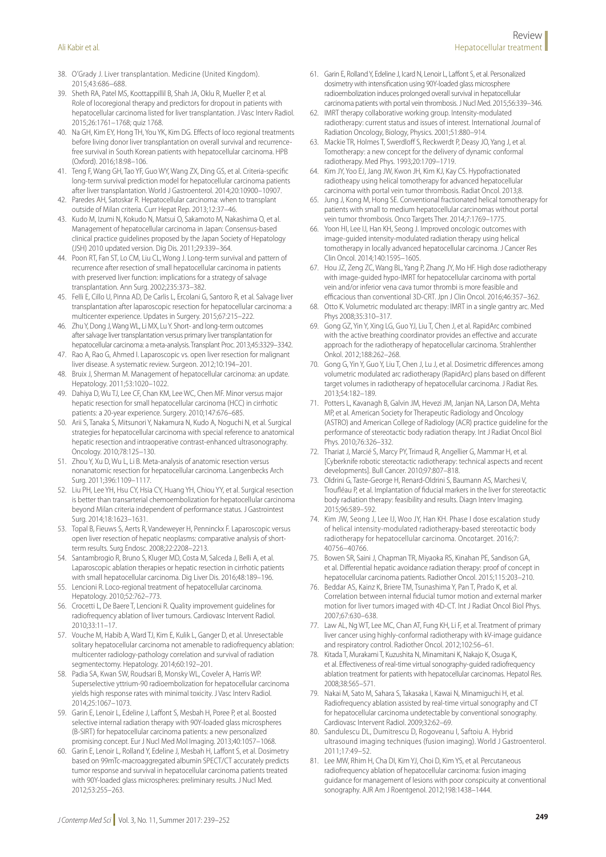- 38. O'Grady J. Liver transplantation. Medicine (United Kingdom). 2015;43:686–688.
- 39. Sheth RA, Patel MS, Koottappillil B, Shah JA, Oklu R, Mueller P, et al. Role of locoregional therapy and predictors for dropout in patients with hepatocellular carcinoma listed for liver transplantation. J Vasc Interv Radiol. 2015;26:1761–1768; quiz 1768.
- 40. Na GH, Kim EY, Hong TH, You YK, Kim DG. Effects of loco regional treatments before living donor liver transplantation on overall survival and recurrencefree survival in South Korean patients with hepatocellular carcinoma. HPB (Oxford). 2016;18:98–106.
- 41. Teng F, Wang GH, Tao YF, Guo WY, Wang ZX, Ding GS, et al. Criteria-specific long-term survival prediction model for hepatocellular carcinoma patients after liver transplantation. World J Gastroenterol. 2014;20:10900–10907.
- 42. Paredes AH, Satoskar R. Hepatocellular carcinoma: when to transplant outside of Milan criteria. Curr Hepat Rep. 2013;12:37–46.
- 43. Kudo M, Izumi N, Kokudo N, Matsui O, Sakamoto M, Nakashima O, et al. Management of hepatocellular carcinoma in Japan: Consensus-based clinical practice guidelines proposed by the Japan Society of Hepatology (JSH) 2010 updated version. Dig Dis. 2011;29:339–364.
- 44. Poon RT, Fan ST, Lo CM, Liu CL, Wong J. Long-term survival and pattern of recurrence after resection of small hepatocellular carcinoma in patients with preserved liver function: implications for a strategy of salvage transplantation. Ann Surg. 2002;235:373–382.
- 45. Felli E, Cillo U, Pinna AD, De Carlis L, Ercolani G, Santoro R, et al. Salvage liver transplantation after laparoscopic resection for hepatocellular carcinoma: a multicenter experience. Updates in Surgery. 2015;67:215–222.
- 46. Zhu Y, Dong J, Wang WL, Li MX, Lu Y. Short- and long-term outcomes after salvage liver transplantation versus primary liver transplantation for hepatocellular carcinoma: a meta-analysis. Transplant Proc. 2013;45:3329–3342.
- 47. Rao A, Rao G, Ahmed I. Laparoscopic vs. open liver resection for malignant liver disease. A systematic review. Surgeon. 2012;10:194–201.
- 48. Bruix J, Sherman M. Management of hepatocellular carcinoma: an update. Hepatology. 2011;53:1020–1022.
- 49. Dahiya D, Wu TJ, Lee CF, Chan KM, Lee WC, Chen MF. Minor versus major hepatic resection for small hepatocellular carcinoma (HCC) in cirrhotic patients: a 20-year experience. Surgery. 2010;147:676–685.
- 50. Arii S, Tanaka S, Mitsunori Y, Nakamura N, Kudo A, Noguchi N, et al. Surgical strategies for hepatocellular carcinoma with special reference to anatomical hepatic resection and intraoperative contrast-enhanced ultrasonography. Oncology. 2010;78:125–130.
- 51. Zhou Y, Xu D, Wu L, Li B. Meta-analysis of anatomic resection versus nonanatomic resection for hepatocellular carcinoma. Langenbecks Arch Surg. 2011;396:1109–1117.
- 52. Liu PH, Lee YH, Hsu CY, Hsia CY, Huang YH, Chiou YY, et al. Surgical resection is better than transarterial chemoembolization for hepatocellular carcinoma beyond Milan criteria independent of performance status. J Gastrointest Surg. 2014;18:1623–1631.
- 53. Topal B, Fieuws S, Aerts R, Vandeweyer H, Penninckx F. Laparoscopic versus open liver resection of hepatic neoplasms: comparative analysis of shortterm results. Surg Endosc. 2008;22:2208–2213.
- 54. Santambrogio R, Bruno S, Kluger MD, Costa M, Salceda J, Belli A, et al. Laparoscopic ablation therapies or hepatic resection in cirrhotic patients with small hepatocellular carcinoma. Dig Liver Dis. 2016;48:189–196.
- 55. Lencioni R. Loco-regional treatment of hepatocellular carcinoma. Hepatology. 2010;52:762–773.
- 56. Crocetti L, De Baere T, Lencioni R. Quality improvement guidelines for radiofrequency ablation of liver tumours. Cardiovasc Intervent Radiol. 2010;33:11–17.
- 57. Vouche M, Habib A, Ward TJ, Kim E, Kulik L, Ganger D, et al. Unresectable solitary hepatocellular carcinoma not amenable to radiofrequency ablation: multicenter radiology-pathology correlation and survival of radiation segmentectomy. Hepatology. 2014;60:192–201.
- 58. Padia SA, Kwan SW, Roudsari B, Monsky WL, Coveler A, Harris WP. Superselective yttrium-90 radioembolization for hepatocellular carcinoma yields high response rates with minimal toxicity. J Vasc Interv Radiol. 2014;25:1067–1073.
- 59. Garin E, Lenoir L, Edeline J, Laffont S, Mesbah H, Poree P, et al. Boosted selective internal radiation therapy with 90Y-loaded glass microspheres (B-SIRT) for hepatocellular carcinoma patients: a new personalized promising concept. Eur J Nucl Med Mol Imaging. 2013;40:1057–1068.
- 60. Garin E, Lenoir L, Rolland Y, Edeline J, Mesbah H, Laffont S, et al. Dosimetry based on 99mTc-macroaggregated albumin SPECT/CT accurately predicts tumor response and survival in hepatocellular carcinoma patients treated with 90Y-loaded glass microspheres: preliminary results. J Nucl Med. 2012;53:255–263.
- 61. Garin E, Rolland Y, Edeline J, Icard N, Lenoir L, Laffont S, et al. Personalized dosimetry with intensification using 90Y-loaded glass microsphere radioembolization induces prolonged overall survival in hepatocellular carcinoma patients with portal vein thrombosis. J Nucl Med. 2015;56:339–346.
- 62. IMRT therapy collaborative working group. Intensity-modulated radiotherapy: current status and issues of interest. International Journal of Radiation Oncology, Biology, Physics. 2001;51:880–914.
- 63. Mackie TR, Holmes T, Swerdloff S, Reckwerdt P, Deasy JO, Yang J, et al. Tomotherapy: a new concept for the delivery of dynamic conformal radiotherapy. Med Phys. 1993;20:1709–1719.
- Kim JY, Yoo EJ, Jang JW, Kwon JH, Kim KJ, Kay CS. Hypofractionated radiotheapy using helical tomotherapy for advanced hepatocellular carcinoma with portal vein tumor thrombosis. Radiat Oncol. 2013;8.
- 65. Jung J, Kong M, Hong SE. Conventional fractionated helical tomotherapy for patients with small to medium hepatocellular carcinomas without portal vein tumor thrombosis. Onco Targets Ther. 2014;7:1769–1775.
- 66. Yoon HI, Lee IJ, Han KH, Seong J. Improved oncologic outcomes with image-guided intensity-modulated radiation therapy using helical tomotherapy in locally advanced hepatocellular carcinoma. J Cancer Res Clin Oncol. 2014;140:1595–1605.
- 67. Hou JZ, Zeng ZC, Wang BL, Yang P, Zhang JY, Mo HF. High dose radiotherapy with image-guided hypo-IMRT for hepatocellular carcinoma with portal vein and/or inferior vena cava tumor thrombi is more feasible and efficacious than conventional 3D-CRT. Jpn J Clin Oncol. 2016;46:357-362.
- 68. Otto K. Volumetric modulated arc therapy: IMRT in a single gantry arc. Med Phys 2008;35:310–317.
- 69. Gong GZ, Yin Y, Xing LG, Guo YJ, Liu T, Chen J, et al. RapidArc combined with the active breathing coordinator provides an effective and accurate approach for the radiotherapy of hepatocellular carcinoma. Strahlenther Onkol. 2012;188:262–268.
- 70. Gong G, Yin Y, Guo Y, Liu T, Chen J, Lu J, et al. Dosimetric differences among volumetric modulated arc radiotherapy (RapidArc) plans based on different target volumes in radiotherapy of hepatocellular carcinoma. J Radiat Res. 2013;54:182–189.
- 71. Potters L, Kavanagh B, Galvin JM, Hevezi JM, Janjan NA, Larson DA, Mehta MP, et al. American Society for Therapeutic Radiology and Oncology (ASTRO) and American College of Radiology (ACR) practice guideline for the performance of stereotactic body radiation therapy. Int J Radiat Oncol Biol Phys. 2010;76:326–332.
- 72. Thariat J, Marcié S, Marcy PY, Trimaud R, Angellier G, Mammar H, et al. [Cyberknife robotic stereotactic radiotherapy: technical aspects and recent developments]. Bull Cancer. 2010;97:807–818.
- 73. Oldrini G, Taste-George H, Renard-Oldrini S, Baumann AS, Marchesi V, Troufléau P, et al. Implantation of fiducial markers in the liver for stereotactic body radiation therapy: feasibility and results. Diagn Interv Imaging. 2015;96:589–592.
- 74. Kim JW, Seong J, Lee IJ, Woo JY, Han KH. Phase I dose escalation study of helical intensity-modulated radiotherapy-based stereotactic body radiotherapy for hepatocellular carcinoma. Oncotarget. 2016;7: 40756–40766.
- 75. Bowen SR, Saini J, Chapman TR, Miyaoka RS, Kinahan PE, Sandison GA, et al. Differential hepatic avoidance radiation therapy: proof of concept in hepatocellular carcinoma patients. Radiother Oncol. 2015;115:203–210.
- 76. Beddar AS, Kainz K, Briere TM, Tsunashima Y, Pan T, Prado K, et al. Correlation between internal fiducial tumor motion and external marker motion for liver tumors imaged with 4D-CT. Int J Radiat Oncol Biol Phys. 2007;67:630–638.
- 77. Law AL, Ng WT, Lee MC, Chan AT, Fung KH, Li F, et al. Treatment of primary liver cancer using highly-conformal radiotherapy with kV-image guidance and respiratory control. Radiother Oncol. 2012;102:56–61.
- 78. Kitada T, Murakami T, Kuzushita N, Minamitani K, Nakajo K, Osuga K, et al. Effectiveness of real-time virtual sonography-guided radiofrequency ablation treatment for patients with hepatocellular carcinomas. Hepatol Res. 2008;38:565–571.
- 79. Nakai M, Sato M, Sahara S, Takasaka I, Kawai N, Minamiguchi H, et al. Radiofrequency ablation assisted by real-time virtual sonography and CT for hepatocellular carcinoma undetectable by conventional sonography. Cardiovasc Intervent Radiol. 2009;32:62–69.
- 80. Sandulescu DL, Dumitrescu D, Rogoveanu I, Saftoiu A. Hybrid ultrasound imaging techniques (fusion imaging). World J Gastroenterol. 2011;17:49–52.
- 81. Lee MW, Rhim H, Cha DI, Kim YJ, Choi D, Kim YS, et al. Percutaneous radiofrequency ablation of hepatocellular carcinoma: fusion imaging guidance for management of lesions with poor conspicuity at conventional sonography. AJR Am J Roentgenol. 2012;198:1438–1444.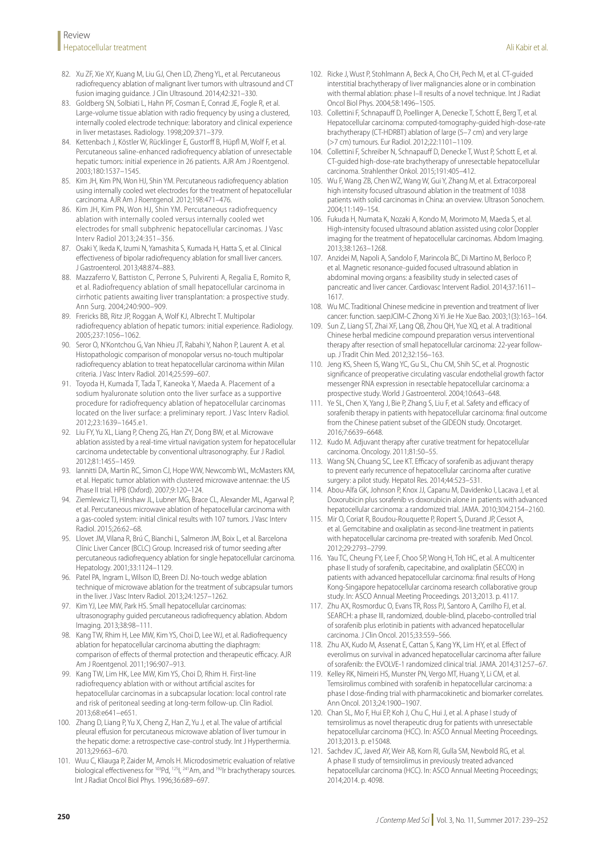- 82. Xu ZF, Xie XY, Kuang M, Liu GJ, Chen LD, Zheng YL, et al. Percutaneous radiofrequency ablation of malignant liver tumors with ultrasound and CT fusion imaging guidance. J Clin Ultrasound. 2014;42:321–330.
- 83. Goldberg SN, Solbiati L, Hahn PF, Cosman E, Conrad JE, Fogle R, et al. Large-volume tissue ablation with radio frequency by using a clustered, internally cooled electrode technique: laboratory and clinical experience in liver metastases. Radiology. 1998;209:371–379.
- 84. Kettenbach J, Köstler W, Rücklinger E, Gustorff B, Hüpfl M, Wolf F, et al. Percutaneous saline-enhanced radiofrequency ablation of unresectable hepatic tumors: initial experience in 26 patients. AJR Am J Roentgenol. 2003;180:1537–1545.
- 85. Kim JH, Kim PN, Won HJ, Shin YM. Percutaneous radiofrequency ablation using internally cooled wet electrodes for the treatment of hepatocellular carcinoma. AJR Am J Roentgenol. 2012;198:471–476.
- 86. Kim JH, Kim PN, Won HJ, Shin YM. Percutaneous radiofrequency ablation with internally cooled versus internally cooled wet electrodes for small subphrenic hepatocellular carcinomas. J Vasc Interv Radiol 2013;24:351–356.
- 87. Osaki Y, Ikeda K, Izumi N, Yamashita S, Kumada H, Hatta S, et al. Clinical effectiveness of bipolar radiofrequency ablation for small liver cancers. J Gastroenterol. 2013;48:874–883.
- 88. Mazzaferro V, Battiston C, Perrone S, Pulvirenti A, Regalia E, Romito R, et al. Radiofrequency ablation of small hepatocellular carcinoma in cirrhotic patients awaiting liver transplantation: a prospective study. Ann Surg. 2004;240:900–909.
- 89. Frericks BB, Ritz JP, Roggan A, Wolf KJ, Albrecht T. Multipolar radiofrequency ablation of hepatic tumors: initial experience. Radiology. 2005;237:1056–1062.
- 90. Seror O, N'Kontchou G, Van Nhieu JT, Rabahi Y, Nahon P, Laurent A. et al. Histopathologic comparison of monopolar versus no-touch multipolar radiofrequency ablation to treat hepatocellular carcinoma within Milan criteria. J Vasc Interv Radiol. 2014;25:599–607.
- 91. Toyoda H, Kumada T, Tada T, Kaneoka Y, Maeda A. Placement of a sodium hyaluronate solution onto the liver surface as a supportive procedure for radiofrequency ablation of hepatocellular carcinomas located on the liver surface: a preliminary report. J Vasc Interv Radiol. 2012;23:1639–1645.e1.
- 92. Liu FY, Yu XL, Liang P, Cheng ZG, Han ZY, Dong BW, et al. Microwave ablation assisted by a real-time virtual navigation system for hepatocellular carcinoma undetectable by conventional ultrasonography. Eur J Radiol. 2012;81:1455–1459.
- 93. Iannitti DA, Martin RC, Simon CJ, Hope WW, Newcomb WL, McMasters KM, et al. Hepatic tumor ablation with clustered microwave antennae: the US Phase II trial. HPB (Oxford). 2007;9:120–124.
- 94. Ziemlewicz TJ, Hinshaw JL, Lubner MG, Brace CL, Alexander ML, Agarwal P, et al. Percutaneous microwave ablation of hepatocellular carcinoma with a gas-cooled system: initial clinical results with 107 tumors. J Vasc Interv Radiol. 2015;26:62–68.
- 95. Llovet JM, Vilana R, Brú C, Bianchi L, Salmeron JM, Boix L, et al. Barcelona Clínic Liver Cancer (BCLC) Group. Increased risk of tumor seeding after percutaneous radiofrequency ablation for single hepatocellular carcinoma. Hepatology. 2001;33:1124–1129.
- 96. Patel PA, Ingram L, Wilson ID, Breen DJ. No-touch wedge ablation technique of microwave ablation for the treatment of subcapsular tumors in the liver. J Vasc Interv Radiol. 2013;24:1257–1262.
- 97. Kim YJ, Lee MW, Park HS. Small hepatocellular carcinomas: ultrasonography guided percutaneous radiofrequency ablation. Abdom Imaging. 2013;38:98–111.
- 98. Kang TW, Rhim H, Lee MW, Kim YS, Choi D, Lee WJ, et al. Radiofrequency ablation for hepatocellular carcinoma abutting the diaphragm: comparison of effects of thermal protection and therapeutic efficacy. AJR Am J Roentgenol. 2011;196:907–913.
- Kang TW, Lim HK, Lee MW, Kim YS, Choi D, Rhim H. First-line radiofrequency ablation with or without artificial ascites for hepatocellular carcinomas in a subcapsular location: local control rate and risk of peritoneal seeding at long-term follow-up. Clin Radiol. 2013;68:e641–e651.
- 100. Zhang D, Liang P, Yu X, Cheng Z, Han Z, Yu J, et al. The value of artificial pleural effusion for percutaneous microwave ablation of liver tumour in the hepatic dome: a retrospective case-control study. Int J Hyperthermia. 2013;29:663–670.
- 101. Wuu C, Kliauga P, Zaider M, Amols H. Microdosimetric evaluation of relative biological effectiveness for <sup>103</sup>Pd, <sup>125</sup>l, <sup>241</sup>Am, and <sup>192</sup>lr brachytherapy sources. Int J Radiat Oncol Biol Phys. 1996;36:689–697.
- 102. Ricke J, Wust P, Stohlmann A, Beck A, Cho CH, Pech M, et al. CT-guided interstitial brachytherapy of liver malignancies alone or in combination with thermal ablation: phase I-II results of a novel technique. Int J Radiat Oncol Biol Phys. 2004;58:1496–1505.
- 103. Collettini F, Schnapauff D, Poellinger A, Denecke T, Schott E, Berg T, et al. Hepatocellular carcinoma: computed-tomography-guided high-dose-rate brachytherapy (CT-HDRBT) ablation of large (5–7 cm) and very large (>7 cm) tumours. Eur Radiol. 2012;22:1101–1109.
- 104. Collettini F, Schreiber N, Schnapauff D, Denecke T, Wust P, Schott E, et al. CT-guided high-dose-rate brachytherapy of unresectable hepatocellular carcinoma. Strahlenther Onkol. 2015;191:405–412.
- 105. Wu F, Wang ZB, Chen WZ, Wang W, Gui Y, Zhang M, et al. Extracorporeal high intensity focused ultrasound ablation in the treatment of 1038 patients with solid carcinomas in China: an overview. Ultrason Sonochem. 2004;11:149–154.
- 106. Fukuda H, Numata K, Nozaki A, Kondo M, Morimoto M, Maeda S, et al. High-intensity focused ultrasound ablation assisted using color Doppler imaging for the treatment of hepatocellular carcinomas. Abdom Imaging. 2013;38:1263–1268.
- 107. Anzidei M, Napoli A, Sandolo F, Marincola BC, Di Martino M, Berloco P, et al. Magnetic resonance-guided focused ultrasound ablation in abdominal moving organs: a feasibility study in selected cases of pancreatic and liver cancer. Cardiovasc Intervent Radiol. 2014;37:1611– 1617.
- 108. Wu MC. Traditional Chinese medicine in prevention and treatment of liver cancer: function. saepJCIM-C Zhong Xi Yi Jie He Xue Bao. 2003;1(3):163–164.
- 109. Sun Z, Liang ST, Zhai XF, Lang QB, Zhou QH, Yue XQ, et al. A traditional Chinese herbal medicine compound preparation versus interventional therapy after resection of small hepatocellular carcinoma: 22-year followup. J Tradit Chin Med. 2012;32:156–163.
- 110. Jeng KS, Sheen IS, Wang YC, Gu SL, Chu CM, Shih SC, et al. Prognostic significance of preoperative circulating vascular endothelial growth factor messenger RNA expression in resectable hepatocellular carcinoma: a prospective study. World J Gastroenterol. 2004;10:643–648.
- 111. Ye SL, Chen X, Yang J, Bie P, Zhang S, Liu F, et al. Safety and efficacy of sorafenib therapy in patients with hepatocellular carcinoma: final outcome from the Chinese patient subset of the GIDEON study. Oncotarget. 2016;7:6639–6648.
- 112. Kudo M. Adjuvant therapy after curative treatment for hepatocellular carcinoma. Oncology. 2011;81:50–55.
- 113. Wang SN, Chuang SC, Lee KT. Efficacy of sorafenib as adjuvant therapy to prevent early recurrence of hepatocellular carcinoma after curative surgery: a pilot study. Hepatol Res. 2014;44:523–531.
- 114. Abou-Alfa GK, Johnson P, Knox JJ, Capanu M, Davidenko I, Lacava J, et al. Doxorubicin plus sorafenib vs doxorubicin alone in patients with advanced hepatocellular carcinoma: a randomized trial. JAMA. 2010;304:2154–2160.
- 115. Mir O, Coriat R, Boudou-Rouquette P, Ropert S, Durand JP, Cessot A, et al. Gemcitabine and oxaliplatin as second-line treatment in patients with hepatocellular carcinoma pre-treated with sorafenib. Med Oncol. 2012;29:2793–2799.
- 116. Yau TC, Cheung FY, Lee F, Choo SP, Wong H, Toh HC, et al. A multicenter phase II study of sorafenib, capecitabine, and oxaliplatin (SECOX) in patients with advanced hepatocellular carcinoma: final results of Hong Kong-Singapore hepatocellular carcinoma research collaborative group study. In: ASCO Annual Meeting Proceedings. 2013;2013. p. 4117.
- 117. Zhu AX, Rosmorduc O, Evans TR, Ross PJ, Santoro A, Carrilho FJ, et al. SEARCH: a phase III, randomized, double-blind, placebo-controlled trial of sorafenib plus erlotinib in patients with advanced hepatocellular carcinoma. J Clin Oncol. 2015;33:559–566.
- 118. Zhu AX, Kudo M, Assenat E, Cattan S, Kang YK, Lim HY, et al. Effect of everolimus on survival in advanced hepatocellular carcinoma after failure of sorafenib: the EVOLVE-1 randomized clinical trial. JAMA. 2014;312:57–67.
- 119. Kelley RK, Nimeiri HS, Munster PN, Vergo MT, Huang Y, Li CM, et al. Temsirolimus combined with sorafenib in hepatocellular carcinoma: a phase I dose-finding trial with pharmacokinetic and biomarker correlates. Ann Oncol. 2013;24:1900–1907.
- 120. Chan SL, Mo F, Hui EP, Koh J, Chu C, Hui J, et al. A phase I study of temsirolimus as novel therapeutic drug for patients with unresectable hepatocellular carcinoma (HCC). In: ASCO Annual Meeting Proceedings. 2013;2013. p. e15048.
- 121. Sachdev JC, Javed AY, Weir AB, Korn RI, Gulla SM, Newbold RG, et al. A phase II study of temsirolimus in previously treated advanced hepatocellular carcinoma (HCC). In: ASCO Annual Meeting Proceedings; 2014;2014. p. 4098.

Ali Kabir et al.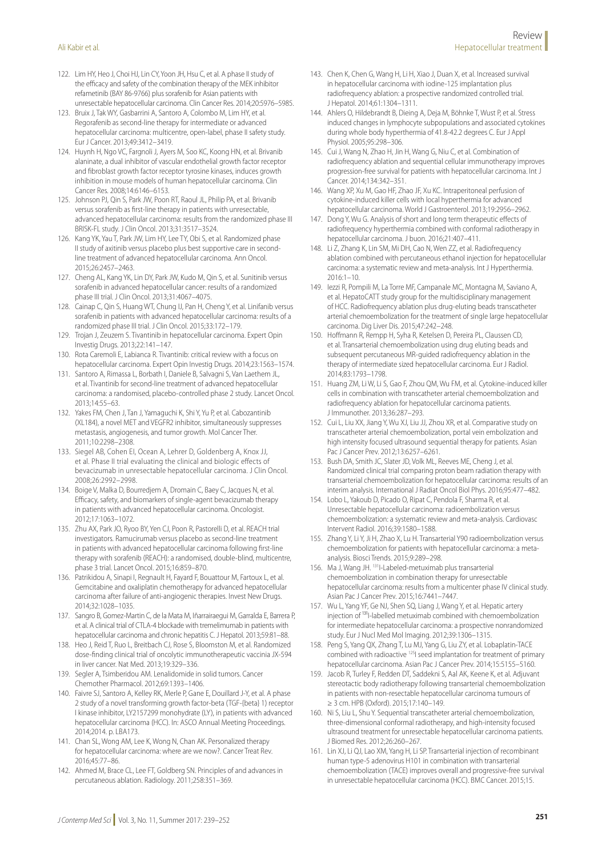- 122. Lim HY, Heo J, Choi HJ, Lin CY, Yoon JH, Hsu C, et al. A phase II study of the efficacy and safety of the combination therapy of the MEK inhibitor refametinib (BAY 86-9766) plus sorafenib for Asian patients with unresectable hepatocellular carcinoma. Clin Cancer Res. 2014;20:5976–5985.
- 123. Bruix J, Tak WY, Gasbarrini A, Santoro A, Colombo M, Lim HY, et al. Regorafenib as second-line therapy for intermediate or advanced hepatocellular carcinoma: multicentre, open-label, phase II safety study. Eur J Cancer. 2013;49:3412–3419.
- 124. Huynh H, Ngo VC, Fargnoli J, Ayers M, Soo KC, Koong HN, et al. Brivanib alaninate, a dual inhibitor of vascular endothelial growth factor receptor and fibroblast growth factor receptor tyrosine kinases, induces growth inhibition in mouse models of human hepatocellular carcinoma. Clin Cancer Res. 2008;14:6146–6153.
- 125. Johnson PJ, Qin S, Park JW, Poon RT, Raoul JL, Philip PA, et al. Brivanib versus sorafenib as first-line therapy in patients with unresectable, advanced hepatocellular carcinoma: results from the randomized phase III BRISK-FL study. J Clin Oncol. 2013;31:3517–3524.
- 126. Kang YK, Yau T, Park JW, Lim HY, Lee TY, Obi S, et al. Randomized phase II study of axitinib versus placebo plus best supportive care in secondline treatment of advanced hepatocellular carcinoma. Ann Oncol. 2015;26:2457–2463.
- 127. Cheng AL, Kang YK, Lin DY, Park JW, Kudo M, Qin S, et al. Sunitinib versus sorafenib in advanced hepatocellular cancer: results of a randomized phase III trial. J Clin Oncol. 2013;31:4067–4075.
- 128. Cainap C, Qin S, Huang WT, Chung IJ, Pan H, Cheng Y, et al. Linifanib versus sorafenib in patients with advanced hepatocellular carcinoma: results of a randomized phase III trial. J Clin Oncol. 2015;33:172–179.
- 129. Trojan J, Zeuzem S. Tivantinib in hepatocellular carcinoma. Expert Opin Investig Drugs. 2013;22:141–147.
- 130. Rota Caremoli E, Labianca R. Tivantinib: critical review with a focus on hepatocellular carcinoma. Expert Opin Investig Drugs. 2014;23:1563–1574.
- 131. Santoro A, Rimassa L, Borbath I, Daniele B, Salvagni S, Van Laethem JL, et al. Tivantinib for second-line treatment of advanced hepatocellular carcinoma: a randomised, placebo-controlled phase 2 study. Lancet Oncol. 2013;14:55–63.
- 132. Yakes FM, Chen J, Tan J, Yamaguchi K, Shi Y, Yu P, et al. Cabozantinib (XL184), a novel MET and VEGFR2 inhibitor, simultaneously suppresses metastasis, angiogenesis, and tumor growth. Mol Cancer Ther. 2011;10:2298–2308.
- 133. Siegel AB, Cohen EI, Ocean A, Lehrer D, Goldenberg A, Knox JJ, et al. Phase II trial evaluating the clinical and biologic effects of bevacizumab in unresectable hepatocellular carcinoma. J Clin Oncol. 2008;26:2992–2998.
- 134. Boige V, Malka D, Bourredjem A, Dromain C, Baey C, Jacques N, et al. Efficacy, safety, and biomarkers of single-agent bevacizumab therapy in patients with advanced hepatocellular carcinoma. Oncologist. 2012;17:1063–1072.
- 135. Zhu AX, Park JO, Ryoo BY, Yen CJ, Poon R, Pastorelli D, et al. REACH trial investigators. Ramucirumab versus placebo as second-line treatment in patients with advanced hepatocellular carcinoma following first-line therapy with sorafenib (REACH): a randomised, double-blind, multicentre, phase 3 trial. Lancet Oncol. 2015;16:859–870.
- 136. Patrikidou A, Sinapi I, Regnault H, Fayard F, Bouattour M, Fartoux L, et al. Gemcitabine and oxaliplatin chemotherapy for advanced hepatocellular carcinoma after failure of anti-angiogenic therapies. Invest New Drugs. 2014;32:1028–1035.
- 137. Sangro B, Gomez-Martin C, de la Mata M, Iñarrairaegui M, Garralda E, Barrera P, et al. A clinical trial of CTLA-4 blockade with tremelimumab in patients with hepatocellular carcinoma and chronic hepatitis C. J Hepatol. 2013;59:81–88.
- 138. Heo J, Reid T, Ruo L, Breitbach CJ, Rose S, Bloomston M, et al. Randomized dose-finding clinical trial of oncolytic immunotherapeutic vaccinia JX-594 in liver cancer. Nat Med. 2013;19:329–336.
- 139. Segler A, Tsimberidou AM. Lenalidomide in solid tumors. Cancer Chemother Pharmacol. 2012;69:1393–1406.
- 140. Faivre SJ, Santoro A, Kelley RK, Merle P, Gane E, Douillard J-Y, et al. A phase 2 study of a novel transforming growth factor-beta (TGF-{beta} 1) receptor I kinase inhibitor, LY2157299 monohydrate (LY), in patients with advanced hepatocellular carcinoma (HCC). In: ASCO Annual Meeting Proceedings. 2014;2014. p. LBA173.
- 141. Chan SL, Wong AM, Lee K, Wong N, Chan AK. Personalized therapy for hepatocellular carcinoma: where are we now?. Cancer Treat Rev. 2016;45:77–86.
- 142. Ahmed M, Brace CL, Lee FT, Goldberg SN. Principles of and advances in percutaneous ablation. Radiology. 2011;258:351–369.
- 143. Chen K, Chen G, Wang H, Li H, Xiao J, Duan X, et al. Increased survival in hepatocellular carcinoma with iodine-125 implantation plus radiofrequency ablation: a prospective randomized controlled trial. J Hepatol. 2014;61:1304–1311.
- 144. Ahlers O, Hildebrandt B, Dieing A, Deja M, Böhnke T, Wust P, et al. Stress induced changes in lymphocyte subpopulations and associated cytokines during whole body hyperthermia of 41.8-42.2 degrees C. Eur J Appl Physiol. 2005;95:298–306.
- 145. Cui J, Wang N, Zhao H, Jin H, Wang G, Niu C, et al. Combination of radiofrequency ablation and sequential cellular immunotherapy improves progression-free survival for patients with hepatocellular carcinoma. Int J Cancer. 2014;134:342–351.
- 146. Wang XP, Xu M, Gao HF, Zhao JF, Xu KC. Intraperitoneal perfusion of cytokine-induced killer cells with local hyperthermia for advanced hepatocellular carcinoma. World J Gastroenterol. 2013;19:2956–2962.
- 147. Dong Y, Wu G. Analysis of short and long term therapeutic effects of radiofrequency hyperthermia combined with conformal radiotherapy in hepatocellular carcinoma. J buon. 2016;21:407–411.
- 148. Li Z, Zhang K, Lin SM, Mi DH, Cao N, Wen ZZ, et al. Radiofrequency ablation combined with percutaneous ethanol injection for hepatocellular carcinoma: a systematic review and meta-analysis. Int J Hyperthermia. 2016:1–10.
- 149. Iezzi R, Pompili M, La Torre MF, Campanale MC, Montagna M, Saviano A, et al. HepatoCATT study group for the multidisciplinary management of HCC. Radiofrequency ablation plus drug-eluting beads transcatheter arterial chemoembolization for the treatment of single large hepatocellular carcinoma. Dig Liver Dis. 2015;47:242–248.
- 150. Hoffmann R, Rempp H, Syha R, Ketelsen D, Pereira PL, Claussen CD, et al. Transarterial chemoembolization using drug eluting beads and subsequent percutaneous MR-guided radiofrequency ablation in the therapy of intermediate sized hepatocellular carcinoma. Eur J Radiol. 2014;83:1793–1798.
- 151. Huang ZM, Li W, Li S, Gao F, Zhou QM, Wu FM, et al. Cytokine-induced killer cells in combination with transcatheter arterial chemoembolization and radiofrequency ablation for hepatocellular carcinoma patients. J Immunother. 2013;36:287–293.
- 152. Cui L, Liu XX, Jiang Y, Wu XJ, Liu JJ, Zhou XR, et al. Comparative study on transcatheter arterial chemoembolization, portal vein embolization and high intensity focused ultrasound sequential therapy for patients. Asian Pac J Cancer Prev. 2012;13:6257–6261.
- 153. Bush DA, Smith JC, Slater JD, Volk ML, Reeves ME, Cheng J, et al. Randomized clinical trial comparing proton beam radiation therapy with transarterial chemoembolization for hepatocellular carcinoma: results of an interim analysis. International J Radiat Oncol Biol Phys. 2016;95:477–482.
- 154. Lobo L, Yakoub D, Picado O, Ripat C, Pendola F, Sharma R, et al. Unresectable hepatocellular carcinoma: radioembolization versus chemoembolization: a systematic review and meta-analysis. Cardiovasc Intervent Radiol. 2016;39:1580–1588.
- 155. Zhang Y, Li Y, Ji H, Zhao X, Lu H. Transarterial Y90 radioembolization versus chemoembolization for patients with hepatocellular carcinoma: a metaanalysis. Biosci Trends. 2015;9:289–298.
- 156. Ma J, Wang JH. 131I-Labeled-metuximab plus transarterial chemoembolization in combination therapy for unresectable hepatocellular carcinoma: results from a multicenter phase IV clinical study. Asian Pac J Cancer Prev. 2015;16:7441–7447.
- 157. Wu L, Yang YF, Ge NJ, Shen SQ, Liang J, Wang Y, et al. Hepatic artery injection of <sup>131</sup>I-labelled metuximab combined with chemoembolization for intermediate hepatocellular carcinoma: a prospective nonrandomized study. Eur J Nucl Med Mol Imaging. 2012;39:1306–1315.
- 158. Peng S, Yang QX, Zhang T, Lu MJ, Yang G, Liu ZY, et al. Lobaplatin-TACE combined with radioactive 125I seed implantation for treatment of primary hepatocellular carcinoma. Asian Pac J Cancer Prev. 2014;15:5155–5160.
- 159. Jacob R, Turley F, Redden DT, Saddekni S, Aal AK, Keene K, et al. Adjuvant stereotactic body radiotherapy following transarterial chemoembolization in patients with non-resectable hepatocellular carcinoma tumours of ≥ 3 cm. HPB (Oxford). 2015;17:140–149.
- 160. Ni S, Liu L, Shu Y. Sequential transcatheter arterial chemoembolization, three-dimensional conformal radiotherapy, and high-intensity focused ultrasound treatment for unresectable hepatocellular carcinoma patients. J Biomed Res. 2012;26:260–267.
- 161. Lin XJ, Li QJ, Lao XM, Yang H, Li SP. Transarterial injection of recombinant human type-5 adenovirus H101 in combination with transarterial chemoembolization (TACE) improves overall and progressive-free survival in unresectable hepatocellular carcinoma (HCC). BMC Cancer. 2015;15.